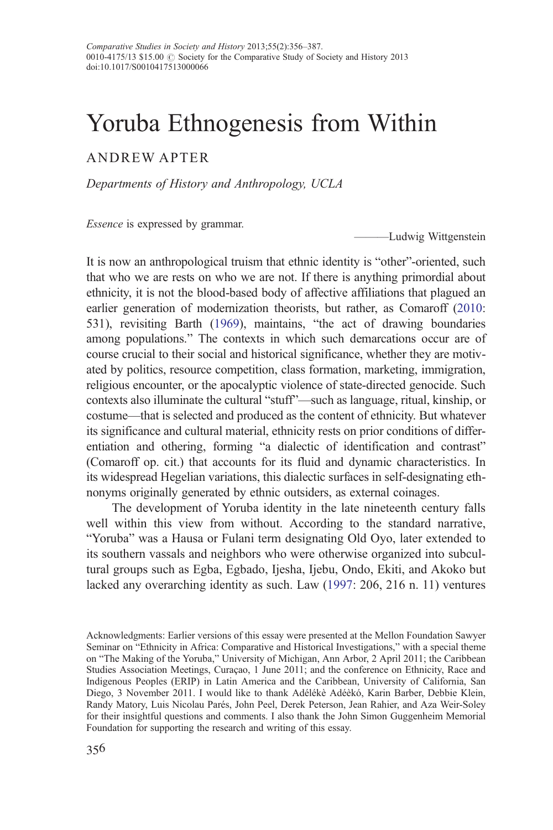# Yoruba Ethnogenesis from Within

# ANDREW APTER

Departments of History and Anthropology, UCLA

Essence is expressed by grammar.

——**Ludwig Wittgenstein** 

It is now an anthropological truism that ethnic identity is "other"-oriented, such that who we are rests on who we are not. If there is anything primordial about ethnicity, it is not the blood-based body of affective affiliations that plagued an earlier generation of modernization theorists, but rather, as Comaroff [\(2010:](#page-29-0) 531), revisiting Barth [\(1969\)](#page-28-0), maintains, "the act of drawing boundaries among populations." The contexts in which such demarcations occur are of course crucial to their social and historical significance, whether they are motivated by politics, resource competition, class formation, marketing, immigration, religious encounter, or the apocalyptic violence of state-directed genocide. Such contexts also illuminate the cultural "stuff"—such as language, ritual, kinship, or costume—that is selected and produced as the content of ethnicity. But whatever its significance and cultural material, ethnicity rests on prior conditions of differentiation and othering, forming "a dialectic of identification and contrast" (Comaroff op. cit.) that accounts for its fluid and dynamic characteristics. In its widespread Hegelian variations, this dialectic surfaces in self-designating ethnonyms originally generated by ethnic outsiders, as external coinages.

The development of Yoruba identity in the late nineteenth century falls well within this view from without. According to the standard narrative, "Yoruba" was a Hausa or Fulani term designating Old Oyo, later extended to its southern vassals and neighbors who were otherwise organized into subcultural groups such as Egba, Egbado, Ijesha, Ijebu, Ondo, Ekiti, and Akoko but lacked any overarching identity as such. Law ([1997:](#page-29-0) 206, 216 n. 11) ventures

Acknowledgments: Earlier versions of this essay were presented at the Mellon Foundation Sawyer Seminar on "Ethnicity in Africa: Comparative and Historical Investigations," with a special theme on "The Making of the Yoruba," University of Michigan, Ann Arbor, 2 April 2011; the Caribbean Studies Association Meetings, Curaçao, 1 June 2011; and the conference on Ethnicity, Race and Indigenous Peoples (ERIP) in Latin America and the Caribbean, University of California, San Diego, 3 November 2011. I would like to thank Adélékè Adéèkó, Karin Barber, Debbie Klein, Randy Matory, Luis Nicolau Parés, John Peel, Derek Peterson, Jean Rahier, and Aza Weir-Soley for their insightful questions and comments. I also thank the John Simon Guggenheim Memorial Foundation for supporting the research and writing of this essay.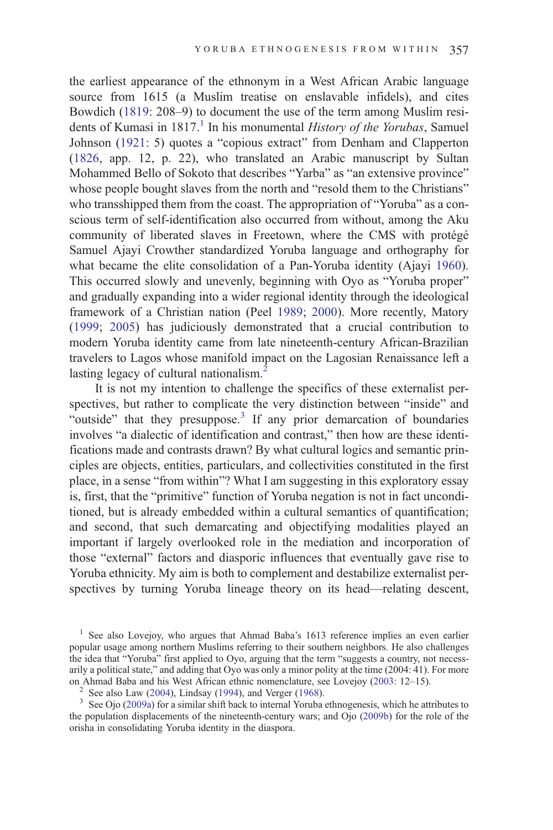the earliest appearance of the ethnonym in a West African Arabic language source from 1615 (a Muslim treatise on enslavable infidels), and cites Bowdich [\(1819](#page-28-0): 208–9) to document the use of the term among Muslim residents of Kumasi in 1817.<sup>1</sup> In his monumental History of the Yorubas, Samuel Johnson ([1921:](#page-29-0) 5) quotes a "copious extract" from Denham and Clapperton [\(1826](#page-29-0), app. 12, p. 22), who translated an Arabic manuscript by Sultan Mohammed Bello of Sokoto that describes "Yarba" as "an extensive province" whose people bought slaves from the north and "resold them to the Christians" who transshipped them from the coast. The appropriation of "Yoruba" as a conscious term of self-identification also occurred from without, among the Aku community of liberated slaves in Freetown, where the CMS with protégé Samuel Ajayi Crowther standardized Yoruba language and orthography for what became the elite consolidation of a Pan-Yoruba identity (Ajayi [1960](#page-28-0)). This occurred slowly and unevenly, beginning with Oyo as "Yoruba proper" and gradually expanding into a wider regional identity through the ideological framework of a Christian nation (Peel [1989;](#page-30-0) [2000\)](#page-30-0). More recently, Matory [\(1999](#page-30-0); [2005\)](#page-30-0) has judiciously demonstrated that a crucial contribution to modern Yoruba identity came from late nineteenth-century African-Brazilian travelers to Lagos whose manifold impact on the Lagosian Renaissance left a lasting legacy of cultural nationalism.<sup>2</sup>

It is not my intention to challenge the specifics of these externalist perspectives, but rather to complicate the very distinction between "inside" and "outside" that they presuppose. $3$  If any prior demarcation of boundaries involves "a dialectic of identification and contrast," then how are these identifications made and contrasts drawn? By what cultural logics and semantic principles are objects, entities, particulars, and collectivities constituted in the first place, in a sense "from within"? What I am suggesting in this exploratory essay is, first, that the "primitive" function of Yoruba negation is not in fact unconditioned, but is already embedded within a cultural semantics of quantification; and second, that such demarcating and objectifying modalities played an important if largely overlooked role in the mediation and incorporation of those "external" factors and diasporic influences that eventually gave rise to Yoruba ethnicity. My aim is both to complement and destabilize externalist perspectives by turning Yoruba lineage theory on its head—relating descent,

<sup>&</sup>lt;sup>1</sup> See also Lovejoy, who argues that Ahmad Baba's 1613 reference implies an even earlier popular usage among northern Muslims referring to their southern neighbors. He also challenges the idea that "Yoruba" first applied to Oyo, arguing that the term "suggests a country, not necessarily a political state," and adding that Oyo was only a minor polity at the time (2004: 41). For more on Ahmad Baba and his West African ethnic nomenclature, see Lovejoy (2003: 12–15).

<sup>&</sup>lt;sup>2</sup> See also Law [\(2004](#page-29-0)), Lindsay [\(1994](#page-29-0)), and Verger [\(1968](#page-31-0)).<br><sup>3</sup> See Ojo ([2009a](#page-30-0)) for a similar shift back to internal Yoruba ethnogenesis, which he attributes to the population displacements of the nineteenth-century wars; and Ojo ([2009b\)](#page-30-0) for the role of the orisha in consolidating Yoruba identity in the diaspora.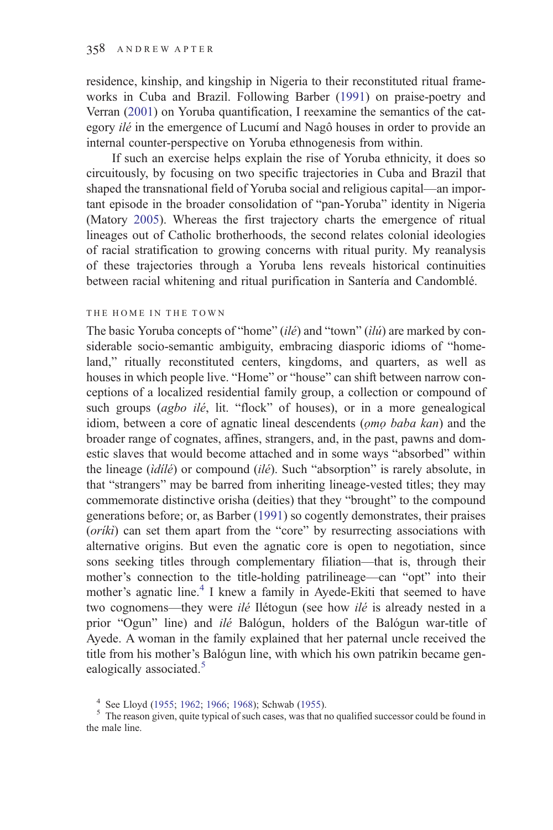residence, kinship, and kingship in Nigeria to their reconstituted ritual frameworks in Cuba and Brazil. Following Barber [\(1991\)](#page-28-0) on praise-poetry and Verran ([2001\)](#page-31-0) on Yoruba quantification, I reexamine the semantics of the category ilé in the emergence of Lucumí and Nagô houses in order to provide an internal counter-perspective on Yoruba ethnogenesis from within.

If such an exercise helps explain the rise of Yoruba ethnicity, it does so circuitously, by focusing on two specific trajectories in Cuba and Brazil that shaped the transnational field of Yoruba social and religious capital—an important episode in the broader consolidation of "pan-Yoruba" identity in Nigeria (Matory [2005](#page-30-0)). Whereas the first trajectory charts the emergence of ritual lineages out of Catholic brotherhoods, the second relates colonial ideologies of racial stratification to growing concerns with ritual purity. My reanalysis of these trajectories through a Yoruba lens reveals historical continuities between racial whitening and ritual purification in Santería and Candomblé.

#### THE HOME IN THE TOWN

The basic Yoruba concepts of "home" (ilé) and "town" (ilú) are marked by considerable socio-semantic ambiguity, embracing diasporic idioms of "homeland," ritually reconstituted centers, kingdoms, and quarters, as well as houses in which people live. "Home" or "house" can shift between narrow conceptions of a localized residential family group, a collection or compound of such groups (agbo ilé, lit. "flock" of houses), or in a more genealogical idiom, between a core of agnatic lineal descendents (ọmọ baba kan) and the broader range of cognates, affines, strangers, and, in the past, pawns and domestic slaves that would become attached and in some ways "absorbed" within the lineage (idilé) or compound (ilé). Such "absorption" is rarely absolute, in that "strangers" may be barred from inheriting lineage-vested titles; they may commemorate distinctive orisha (deities) that they "brought" to the compound generations before; or, as Barber [\(1991](#page-28-0)) so cogently demonstrates, their praises (*oriki*) can set them apart from the "core" by resurrecting associations with alternative origins. But even the agnatic core is open to negotiation, since sons seeking titles through complementary filiation—that is, through their mother's connection to the title-holding patrilineage—can "opt" into their mother's agnatic line.<sup>4</sup> I knew a family in Ayede-Ekiti that seemed to have two cognomens—they were *ilé* Ilétogun (see how *ilé* is already nested in a prior "Ogun" line) and ilé Balógun, holders of the Balógun war-title of Ayede. A woman in the family explained that her paternal uncle received the title from his mother's Balógun line, with which his own patrikin became genealogically associated.<sup>5</sup>

<sup>&</sup>lt;sup>4</sup> See Lloyd [\(1955](#page-29-0); [1962;](#page-29-0) [1966](#page-29-0); [1968\)](#page-29-0); Schwab ([1955\)](#page-31-0).<br><sup>5</sup> The reason given, quite typical of such cases, was that no qualified successor could be found in the male line.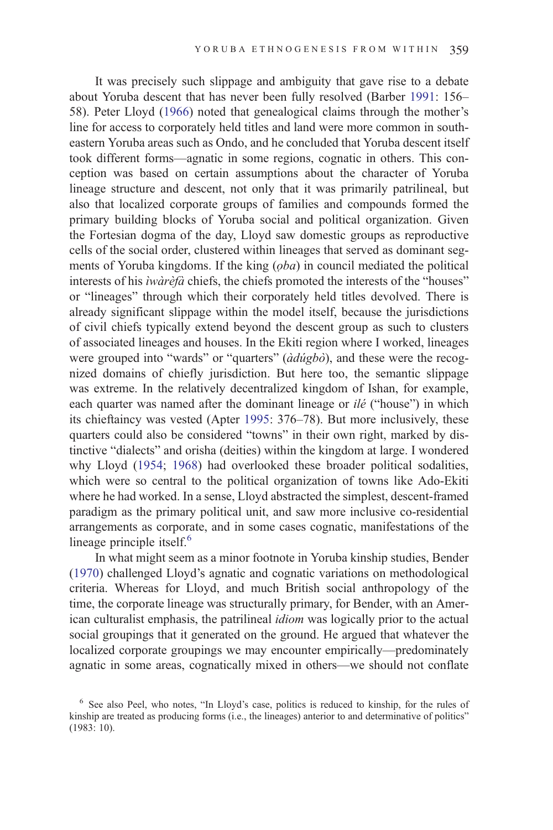It was precisely such slippage and ambiguity that gave rise to a debate about Yoruba descent that has never been fully resolved (Barber [1991](#page-28-0): 156– 58). Peter Lloyd ([1966\)](#page-29-0) noted that genealogical claims through the mother's line for access to corporately held titles and land were more common in southeastern Yoruba areas such as Ondo, and he concluded that Yoruba descent itself took different forms—agnatic in some regions, cognatic in others. This conception was based on certain assumptions about the character of Yoruba lineage structure and descent, not only that it was primarily patrilineal, but also that localized corporate groups of families and compounds formed the primary building blocks of Yoruba social and political organization. Given the Fortesian dogma of the day, Lloyd saw domestic groups as reproductive cells of the social order, clustered within lineages that served as dominant segments of Yoruba kingdoms. If the king (*oba*) in council mediated the political interests of his ìwàrèfà chiefs, the chiefs promoted the interests of the "houses" or "lineages" through which their corporately held titles devolved. There is already significant slippage within the model itself, because the jurisdictions of civil chiefs typically extend beyond the descent group as such to clusters of associated lineages and houses. In the Ekiti region where I worked, lineages were grouped into "wards" or "quarters" ( $\partial d\acute{u}gb\partial$ ), and these were the recognized domains of chiefly jurisdiction. But here too, the semantic slippage was extreme. In the relatively decentralized kingdom of Ishan, for example, each quarter was named after the dominant lineage or *ilé* ("house") in which its chieftaincy was vested (Apter [1995:](#page-28-0) 376–78). But more inclusively, these quarters could also be considered "towns" in their own right, marked by distinctive "dialects" and orisha (deities) within the kingdom at large. I wondered why Lloyd [\(1954](#page-29-0); [1968](#page-29-0)) had overlooked these broader political sodalities, which were so central to the political organization of towns like Ado-Ekiti where he had worked. In a sense, Lloyd abstracted the simplest, descent-framed paradigm as the primary political unit, and saw more inclusive co-residential arrangements as corporate, and in some cases cognatic, manifestations of the lineage principle itself. $<sup>6</sup>$ </sup>

In what might seem as a minor footnote in Yoruba kinship studies, Bender [\(1970](#page-28-0)) challenged Lloyd's agnatic and cognatic variations on methodological criteria. Whereas for Lloyd, and much British social anthropology of the time, the corporate lineage was structurally primary, for Bender, with an American culturalist emphasis, the patrilineal idiom was logically prior to the actual social groupings that it generated on the ground. He argued that whatever the localized corporate groupings we may encounter empirically—predominately agnatic in some areas, cognatically mixed in others—we should not conflate

<sup>&</sup>lt;sup>6</sup> See also Peel, who notes, "In Lloyd's case, politics is reduced to kinship, for the rules of kinship are treated as producing forms (i.e., the lineages) anterior to and determinative of politics" (1983: 10).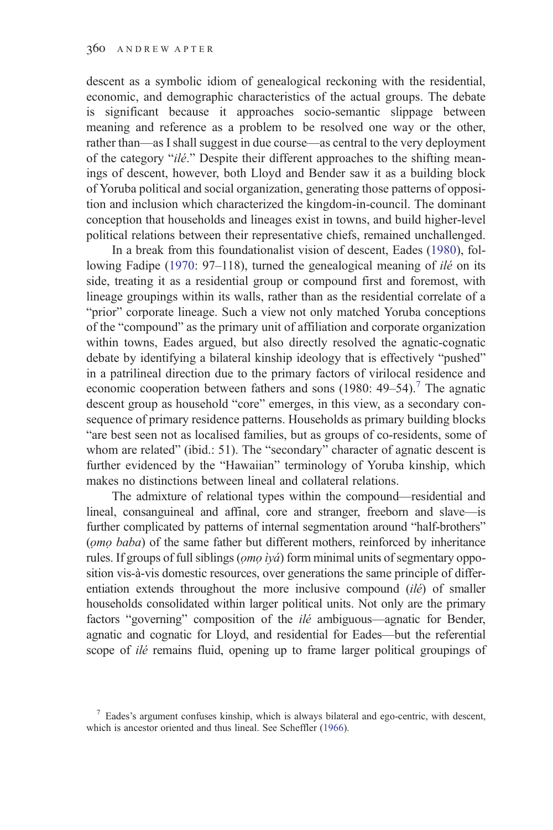descent as a symbolic idiom of genealogical reckoning with the residential, economic, and demographic characteristics of the actual groups. The debate is significant because it approaches socio-semantic slippage between meaning and reference as a problem to be resolved one way or the other, rather than—as I shall suggest in due course—as central to the very deployment of the category "ilé." Despite their different approaches to the shifting meanings of descent, however, both Lloyd and Bender saw it as a building block of Yoruba political and social organization, generating those patterns of opposition and inclusion which characterized the kingdom-in-council. The dominant conception that households and lineages exist in towns, and build higher-level political relations between their representative chiefs, remained unchallenged.

In a break from this foundationalist vision of descent, Eades [\(1980\)](#page-29-0), fol-lowing Fadipe ([1970](#page-29-0): 97–118), turned the genealogical meaning of *ilé* on its side, treating it as a residential group or compound first and foremost, with lineage groupings within its walls, rather than as the residential correlate of a "prior" corporate lineage. Such a view not only matched Yoruba conceptions of the "compound" as the primary unit of affiliation and corporate organization within towns, Eades argued, but also directly resolved the agnatic-cognatic debate by identifying a bilateral kinship ideology that is effectively "pushed" in a patrilineal direction due to the primary factors of virilocal residence and economic cooperation between fathers and sons  $(1980: 49-54).$ <sup>7</sup> The agnatic descent group as household "core" emerges, in this view, as a secondary consequence of primary residence patterns. Households as primary building blocks "are best seen not as localised families, but as groups of co-residents, some of whom are related" (ibid.: 51). The "secondary" character of agnatic descent is further evidenced by the "Hawaiian" terminology of Yoruba kinship, which makes no distinctions between lineal and collateral relations.

The admixture of relational types within the compound—residential and lineal, consanguineal and affinal, core and stranger, freeborn and slave—is further complicated by patterns of internal segmentation around "half-brothers" (ọmọ baba) of the same father but different mothers, reinforced by inheritance rules. If groups of full siblings (*omo ìyá*) form minimal units of segmentary opposition vis-à-vis domestic resources, over generations the same principle of differentiation extends throughout the more inclusive compound (ilé) of smaller households consolidated within larger political units. Not only are the primary factors "governing" composition of the *ilé* ambiguous—agnatic for Bender, agnatic and cognatic for Lloyd, and residential for Eades—but the referential scope of *ilé* remains fluid, opening up to frame larger political groupings of

 $\frac{7}{7}$  Eades's argument confuses kinship, which is always bilateral and ego-centric, with descent, which is ancestor oriented and thus lineal. See Scheffler [\(1966](#page-31-0)).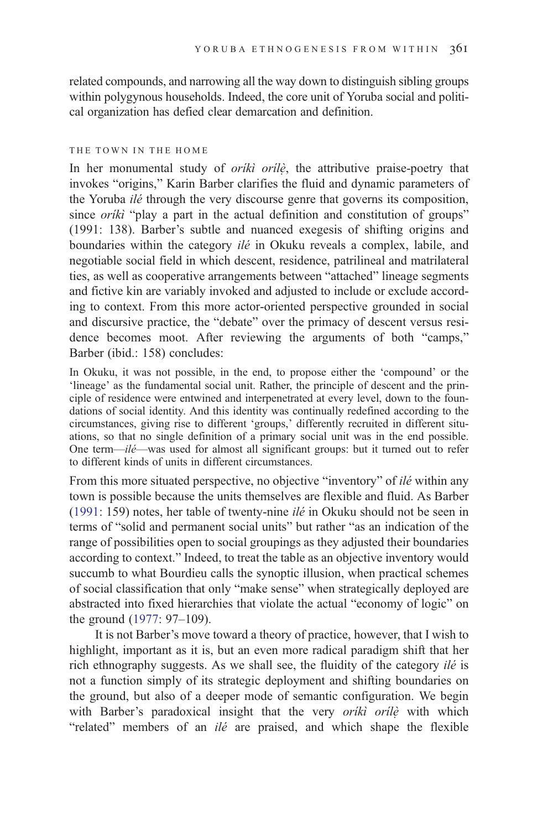related compounds, and narrowing all the way down to distinguish sibling groups within polygynous households. Indeed, the core unit of Yoruba social and political organization has defied clear demarcation and definition.

#### THE TOWN IN THE HOME

In her monumental study of *orikì orilè*, the attributive praise-poetry that invokes "origins," Karin Barber clarifies the fluid and dynamic parameters of the Yoruba ilé through the very discourse genre that governs its composition, since *oriki* "play a part in the actual definition and constitution of groups" (1991: 138). Barber's subtle and nuanced exegesis of shifting origins and boundaries within the category ilé in Okuku reveals a complex, labile, and negotiable social field in which descent, residence, patrilineal and matrilateral ties, as well as cooperative arrangements between "attached" lineage segments and fictive kin are variably invoked and adjusted to include or exclude according to context. From this more actor-oriented perspective grounded in social and discursive practice, the "debate" over the primacy of descent versus residence becomes moot. After reviewing the arguments of both "camps," Barber (ibid.: 158) concludes:

In Okuku, it was not possible, in the end, to propose either the 'compound' or the 'lineage' as the fundamental social unit. Rather, the principle of descent and the principle of residence were entwined and interpenetrated at every level, down to the foundations of social identity. And this identity was continually redefined according to the circumstances, giving rise to different 'groups,' differently recruited in different situations, so that no single definition of a primary social unit was in the end possible. One term—ilé—was used for almost all significant groups: but it turned out to refer to different kinds of units in different circumstances.

From this more situated perspective, no objective "inventory" of ilé within any town is possible because the units themselves are flexible and fluid. As Barber [\(1991](#page-28-0): 159) notes, her table of twenty-nine ilé in Okuku should not be seen in terms of "solid and permanent social units" but rather "as an indication of the range of possibilities open to social groupings as they adjusted their boundaries according to context." Indeed, to treat the table as an objective inventory would succumb to what Bourdieu calls the synoptic illusion, when practical schemes of social classification that only "make sense" when strategically deployed are abstracted into fixed hierarchies that violate the actual "economy of logic" on the ground ([1977:](#page-28-0) 97–109).

It is not Barber's move toward a theory of practice, however, that I wish to highlight, important as it is, but an even more radical paradigm shift that her rich ethnography suggests. As we shall see, the fluidity of the category *ilé* is not a function simply of its strategic deployment and shifting boundaries on the ground, but also of a deeper mode of semantic configuration. We begin with Barber's paradoxical insight that the very orikì orilè with which "related" members of an *ilé* are praised, and which shape the flexible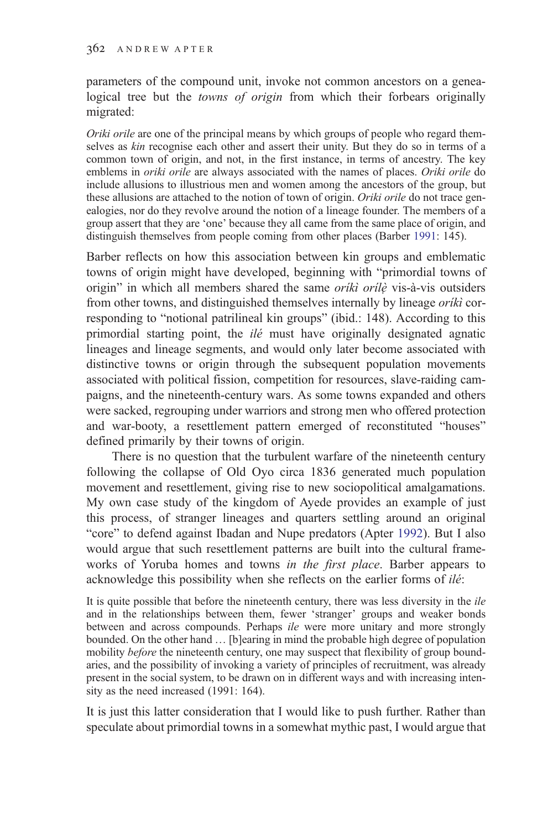parameters of the compound unit, invoke not common ancestors on a genealogical tree but the towns of origin from which their forbears originally migrated:

Oriki orile are one of the principal means by which groups of people who regard themselves as kin recognise each other and assert their unity. But they do so in terms of a common town of origin, and not, in the first instance, in terms of ancestry. The key emblems in *oriki orile* are always associated with the names of places. Oriki orile do include allusions to illustrious men and women among the ancestors of the group, but these allusions are attached to the notion of town of origin. Oriki orile do not trace genealogies, nor do they revolve around the notion of a lineage founder. The members of a group assert that they are 'one' because they all came from the same place of origin, and distinguish themselves from people coming from other places (Barber [1991:](#page-28-0) 145).

Barber reflects on how this association between kin groups and emblematic towns of origin might have developed, beginning with "primordial towns of origin" in which all members shared the same *orikì orilè* vis-à-vis outsiders from other towns, and distinguished themselves internally by lineage *oriki* corresponding to "notional patrilineal kin groups" (ibid.: 148). According to this primordial starting point, the ilé must have originally designated agnatic lineages and lineage segments, and would only later become associated with distinctive towns or origin through the subsequent population movements associated with political fission, competition for resources, slave-raiding campaigns, and the nineteenth-century wars. As some towns expanded and others were sacked, regrouping under warriors and strong men who offered protection and war-booty, a resettlement pattern emerged of reconstituted "houses" defined primarily by their towns of origin.

There is no question that the turbulent warfare of the nineteenth century following the collapse of Old Oyo circa 1836 generated much population movement and resettlement, giving rise to new sociopolitical amalgamations. My own case study of the kingdom of Ayede provides an example of just this process, of stranger lineages and quarters settling around an original "core" to defend against Ibadan and Nupe predators (Apter [1992](#page-28-0)). But I also would argue that such resettlement patterns are built into the cultural frameworks of Yoruba homes and towns in the first place. Barber appears to acknowledge this possibility when she reflects on the earlier forms of *ilé*:

It is quite possible that before the nineteenth century, there was less diversity in the *ile* and in the relationships between them, fewer 'stranger' groups and weaker bonds between and across compounds. Perhaps *ile* were more unitary and more strongly bounded. On the other hand … [b]earing in mind the probable high degree of population mobility *before* the nineteenth century, one may suspect that flexibility of group boundaries, and the possibility of invoking a variety of principles of recruitment, was already present in the social system, to be drawn on in different ways and with increasing intensity as the need increased (1991: 164).

It is just this latter consideration that I would like to push further. Rather than speculate about primordial towns in a somewhat mythic past, I would argue that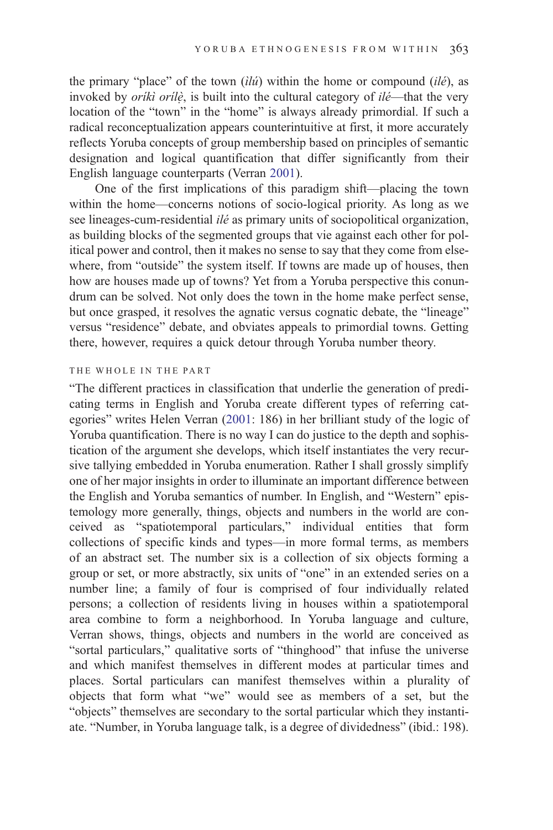the primary "place" of the town  $(i\nu\hat{i})$  within the home or compound  $(i\nu\hat{e})$ , as invoked by *orikì orilè*, is built into the cultural category of *ilé*—that the very location of the "town" in the "home" is always already primordial. If such a radical reconceptualization appears counterintuitive at first, it more accurately reflects Yoruba concepts of group membership based on principles of semantic designation and logical quantification that differ significantly from their English language counterparts (Verran [2001\)](#page-31-0).

One of the first implications of this paradigm shift—placing the town within the home—concerns notions of socio-logical priority. As long as we see lineages-cum-residential ilé as primary units of sociopolitical organization, as building blocks of the segmented groups that vie against each other for political power and control, then it makes no sense to say that they come from elsewhere, from "outside" the system itself. If towns are made up of houses, then how are houses made up of towns? Yet from a Yoruba perspective this conundrum can be solved. Not only does the town in the home make perfect sense, but once grasped, it resolves the agnatic versus cognatic debate, the "lineage" versus "residence" debate, and obviates appeals to primordial towns. Getting there, however, requires a quick detour through Yoruba number theory.

## THE WHOLE IN THE PART

"The different practices in classification that underlie the generation of predicating terms in English and Yoruba create different types of referring categories" writes Helen Verran ([2001:](#page-31-0) 186) in her brilliant study of the logic of Yoruba quantification. There is no way I can do justice to the depth and sophistication of the argument she develops, which itself instantiates the very recursive tallying embedded in Yoruba enumeration. Rather I shall grossly simplify one of her major insights in order to illuminate an important difference between the English and Yoruba semantics of number. In English, and "Western" epistemology more generally, things, objects and numbers in the world are conceived as "spatiotemporal particulars," individual entities that form collections of specific kinds and types—in more formal terms, as members of an abstract set. The number six is a collection of six objects forming a group or set, or more abstractly, six units of "one" in an extended series on a number line; a family of four is comprised of four individually related persons; a collection of residents living in houses within a spatiotemporal area combine to form a neighborhood. In Yoruba language and culture, Verran shows, things, objects and numbers in the world are conceived as "sortal particulars," qualitative sorts of "thinghood" that infuse the universe and which manifest themselves in different modes at particular times and places. Sortal particulars can manifest themselves within a plurality of objects that form what "we" would see as members of a set, but the "objects" themselves are secondary to the sortal particular which they instantiate. "Number, in Yoruba language talk, is a degree of dividedness" (ibid.: 198).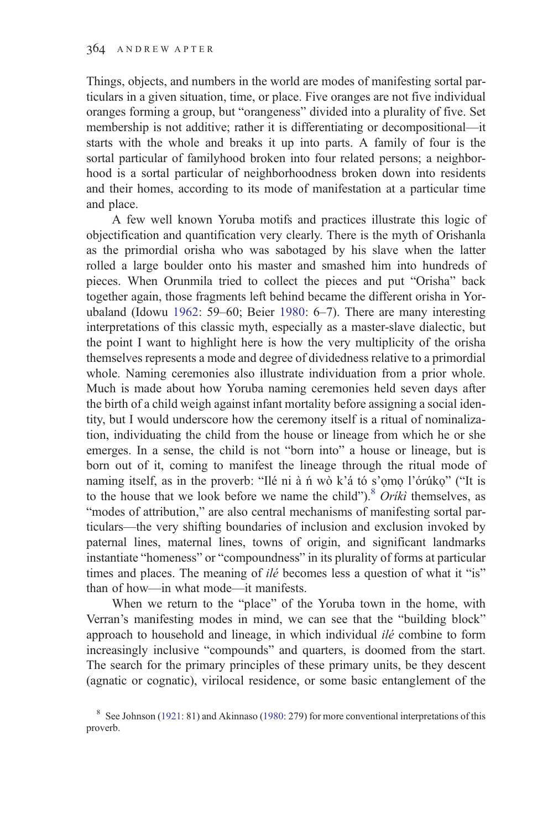Things, objects, and numbers in the world are modes of manifesting sortal particulars in a given situation, time, or place. Five oranges are not five individual oranges forming a group, but "orangeness" divided into a plurality of five. Set membership is not additive; rather it is differentiating or decompositional—it starts with the whole and breaks it up into parts. A family of four is the sortal particular of familyhood broken into four related persons; a neighborhood is a sortal particular of neighborhoodness broken down into residents and their homes, according to its mode of manifestation at a particular time and place.

A few well known Yoruba motifs and practices illustrate this logic of objectification and quantification very clearly. There is the myth of Orishanla as the primordial orisha who was sabotaged by his slave when the latter rolled a large boulder onto his master and smashed him into hundreds of pieces. When Orunmila tried to collect the pieces and put "Orisha" back together again, those fragments left behind became the different orisha in Yorubaland (Idowu [1962](#page-29-0): 59–60; Beier [1980](#page-28-0): 6–7). There are many interesting interpretations of this classic myth, especially as a master-slave dialectic, but the point I want to highlight here is how the very multiplicity of the orisha themselves represents a mode and degree of dividedness relative to a primordial whole. Naming ceremonies also illustrate individuation from a prior whole. Much is made about how Yoruba naming ceremonies held seven days after the birth of a child weigh against infant mortality before assigning a social identity, but I would underscore how the ceremony itself is a ritual of nominalization, individuating the child from the house or lineage from which he or she emerges. In a sense, the child is not "born into" a house or lineage, but is born out of it, coming to manifest the lineage through the ritual mode of naming itself, as in the proverb: "Ilé ni à ń wò k'á tó s'ọmọ l'órúkọ" ("It is to the house that we look before we name the child").<sup>8</sup> Oriki themselves, as "modes of attribution," are also central mechanisms of manifesting sortal particulars—the very shifting boundaries of inclusion and exclusion invoked by paternal lines, maternal lines, towns of origin, and significant landmarks instantiate "homeness" or "compoundness" in its plurality of forms at particular times and places. The meaning of ilé becomes less a question of what it "is" than of how—in what mode—it manifests.

When we return to the "place" of the Yoruba town in the home, with Verran's manifesting modes in mind, we can see that the "building block" approach to household and lineage, in which individual *ilé* combine to form increasingly inclusive "compounds" and quarters, is doomed from the start. The search for the primary principles of these primary units, be they descent (agnatic or cognatic), virilocal residence, or some basic entanglement of the

<sup>&</sup>lt;sup>8</sup> See Johnson ([1921:](#page-29-0) 81) and Akinnaso ([1980](#page-28-0): 279) for more conventional interpretations of this proverb.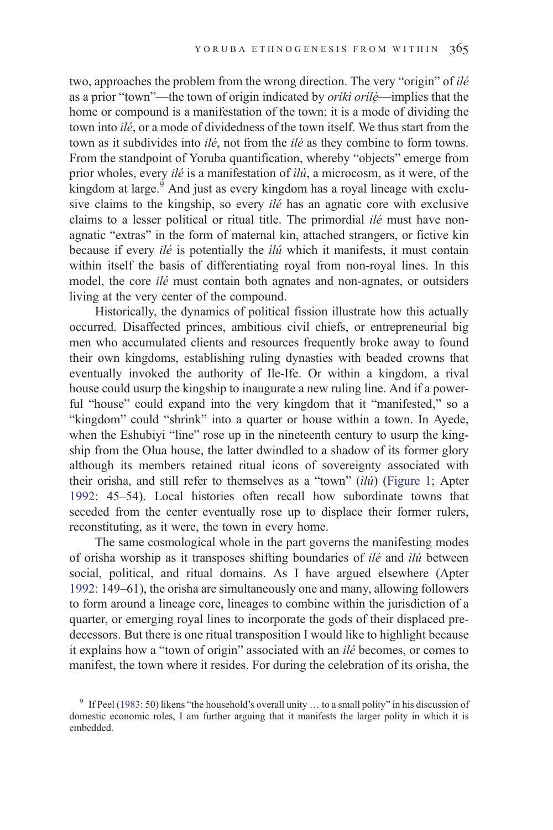two, approaches the problem from the wrong direction. The very "origin" of ilé as a prior "town"—the town of origin indicated by *orikì orilè*—implies that the home or compound is a manifestation of the town; it is a mode of dividing the town into ilé, or a mode of dividedness of the town itself. We thus start from the town as it subdivides into *ilé*, not from the *ilé* as they combine to form towns. From the standpoint of Yoruba quantification, whereby "objects" emerge from prior wholes, every ilé is a manifestation of ìlú, a microcosm, as it were, of the kingdom at large. $9$  And just as every kingdom has a royal lineage with exclusive claims to the kingship, so every ilé has an agnatic core with exclusive claims to a lesser political or ritual title. The primordial ilé must have nonagnatic "extras" in the form of maternal kin, attached strangers, or fictive kin because if every *ilé* is potentially the *ilú* which it manifests, it must contain within itself the basis of differentiating royal from non-royal lines. In this model, the core ilé must contain both agnates and non-agnates, or outsiders living at the very center of the compound.

Historically, the dynamics of political fission illustrate how this actually occurred. Disaffected princes, ambitious civil chiefs, or entrepreneurial big men who accumulated clients and resources frequently broke away to found their own kingdoms, establishing ruling dynasties with beaded crowns that eventually invoked the authority of Ile-Ife. Or within a kingdom, a rival house could usurp the kingship to inaugurate a new ruling line. And if a powerful "house" could expand into the very kingdom that it "manifested," so a "kingdom" could "shrink" into a quarter or house within a town. In Ayede, when the Eshubiyi "line" rose up in the nineteenth century to usurp the kingship from the Olua house, the latter dwindled to a shadow of its former glory although its members retained ritual icons of sovereignty associated with their orisha, and still refer to themselves as a "town" (ìlú) [\(Figure 1](#page-10-0); Apter [1992](#page-28-0): 45–54). Local histories often recall how subordinate towns that seceded from the center eventually rose up to displace their former rulers, reconstituting, as it were, the town in every home.

The same cosmological whole in the part governs the manifesting modes of orisha worship as it transposes shifting boundaries of ilé and ìlú between social, political, and ritual domains. As I have argued elsewhere (Apter [1992](#page-28-0): 149–61), the orisha are simultaneously one and many, allowing followers to form around a lineage core, lineages to combine within the jurisdiction of a quarter, or emerging royal lines to incorporate the gods of their displaced predecessors. But there is one ritual transposition I would like to highlight because it explains how a "town of origin" associated with an ilé becomes, or comes to manifest, the town where it resides. For during the celebration of its orisha, the

<sup>&</sup>lt;sup>9</sup> If Peel ([1983:](#page-30-0) 50) likens "the household's overall unity ... to a small polity" in his discussion of domestic economic roles, I am further arguing that it manifests the larger polity in which it is embedded.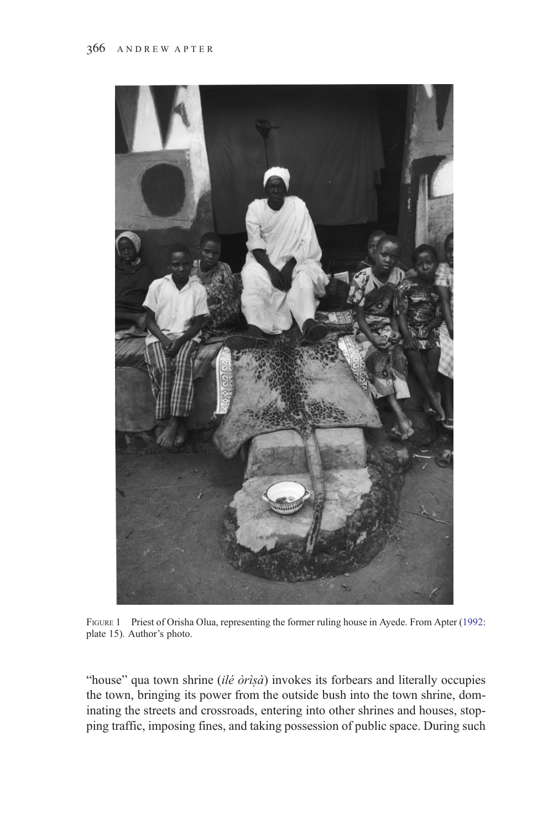<span id="page-10-0"></span>

FIGURE 1 Priest of Orisha Olua, representing the former ruling house in Ayede. From Apter [\(1992](#page-28-0): plate 15). Author's photo.

"house" qua town shrine  $(il\acute{e}or\acute{e}a)$  invokes its forbears and literally occupies the town, bringing its power from the outside bush into the town shrine, dominating the streets and crossroads, entering into other shrines and houses, stopping traffic, imposing fines, and taking possession of public space. During such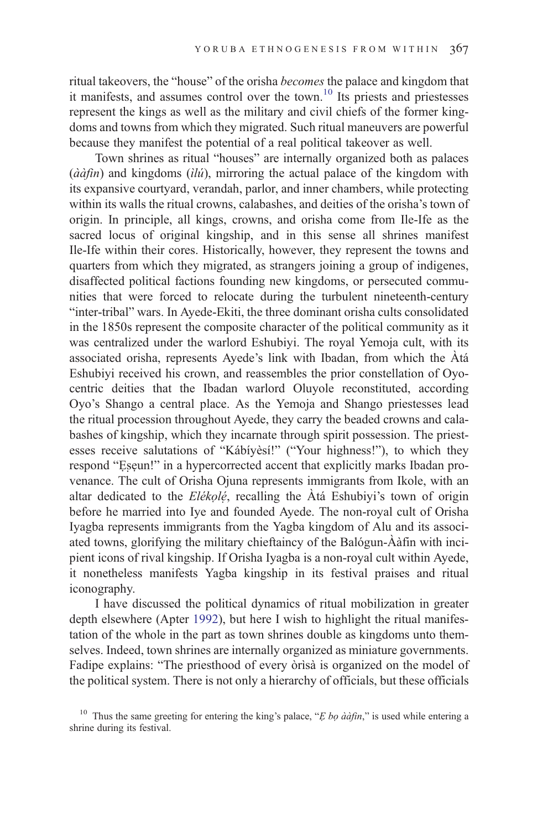ritual takeovers, the "house" of the orisha becomes the palace and kingdom that it manifests, and assumes control over the town.<sup>10</sup> Its priests and priestesses represent the kings as well as the military and civil chiefs of the former kingdoms and towns from which they migrated. Such ritual maneuvers are powerful because they manifest the potential of a real political takeover as well.

Town shrines as ritual "houses" are internally organized both as palaces  $(\hat{a} \hat{a} \hat{f} \hat{n})$  and kingdoms  $(i\hat{l} \hat{u})$ , mirroring the actual palace of the kingdom with its expansive courtyard, verandah, parlor, and inner chambers, while protecting within its walls the ritual crowns, calabashes, and deities of the orisha's town of origin. In principle, all kings, crowns, and orisha come from Ile-Ife as the sacred locus of original kingship, and in this sense all shrines manifest Ile-Ife within their cores. Historically, however, they represent the towns and quarters from which they migrated, as strangers joining a group of indigenes, disaffected political factions founding new kingdoms, or persecuted communities that were forced to relocate during the turbulent nineteenth-century "inter-tribal" wars. In Ayede-Ekiti, the three dominant orisha cults consolidated in the 1850s represent the composite character of the political community as it was centralized under the warlord Eshubiyi. The royal Yemoja cult, with its associated orisha, represents Ayede's link with Ibadan, from which the Àtá Eshubiyi received his crown, and reassembles the prior constellation of Oyocentric deities that the Ibadan warlord Oluyole reconstituted, according Oyo's Shango a central place. As the Yemoja and Shango priestesses lead the ritual procession throughout Ayede, they carry the beaded crowns and calabashes of kingship, which they incarnate through spirit possession. The priestesses receive salutations of "Kábíyèsí!" ("Your highness!"), to which they respond "Eseun!" in a hypercorrected accent that explicitly marks Ibadan provenance. The cult of Orisha Ojuna represents immigrants from Ikole, with an altar dedicated to the  $El\acute{e}k\rho l\acute{e}$ , recalling the  $\grave{A}$ tá Eshubiyi's town of origin before he married into Iye and founded Ayede. The non-royal cult of Orisha Iyagba represents immigrants from the Yagba kingdom of Alu and its associated towns, glorifying the military chieftaincy of the Balógun-Ààfin with incipient icons of rival kingship. If Orisha Iyagba is a non-royal cult within Ayede, it nonetheless manifests Yagba kingship in its festival praises and ritual iconography.

I have discussed the political dynamics of ritual mobilization in greater depth elsewhere (Apter [1992\)](#page-28-0), but here I wish to highlight the ritual manifestation of the whole in the part as town shrines double as kingdoms unto themselves. Indeed, town shrines are internally organized as miniature governments. Fadipe explains: "The priesthood of every òrìsà is organized on the model of the political system. There is not only a hierarchy of officials, but these officials

<sup>&</sup>lt;sup>10</sup> Thus the same greeting for entering the king's palace, " $E$  bo ààfin," is used while entering a shrine during its festival.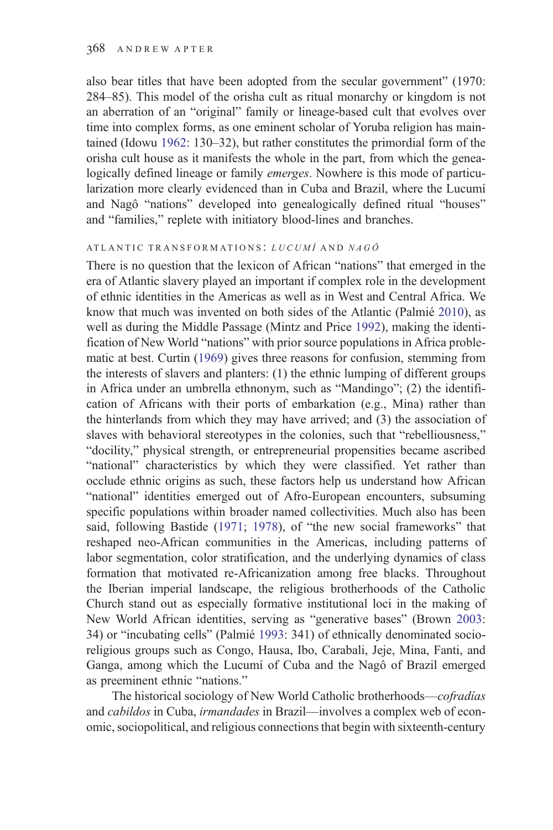also bear titles that have been adopted from the secular government" (1970: 284–85). This model of the orisha cult as ritual monarchy or kingdom is not an aberration of an "original" family or lineage-based cult that evolves over time into complex forms, as one eminent scholar of Yoruba religion has maintained (Idowu [1962:](#page-29-0) 130–32), but rather constitutes the primordial form of the orisha cult house as it manifests the whole in the part, from which the genealogically defined lineage or family emerges. Nowhere is this mode of particularization more clearly evidenced than in Cuba and Brazil, where the Lucumí and Nagô "nations" developed into genealogically defined ritual "houses" and "families," replete with initiatory blood-lines and branches.

#### ATLANTIC TRANSFORMATIONS: LUCUMÍ AND NAGÔ

There is no question that the lexicon of African "nations" that emerged in the era of Atlantic slavery played an important if complex role in the development of ethnic identities in the Americas as well as in West and Central Africa. We know that much was invented on both sides of the Atlantic (Palmié [2010](#page-30-0)), as well as during the Middle Passage (Mintz and Price [1992\)](#page-30-0), making the identification of New World "nations" with prior source populations in Africa problematic at best. Curtin ([1969\)](#page-29-0) gives three reasons for confusion, stemming from the interests of slavers and planters: (1) the ethnic lumping of different groups in Africa under an umbrella ethnonym, such as "Mandingo"; (2) the identification of Africans with their ports of embarkation (e.g., Mina) rather than the hinterlands from which they may have arrived; and (3) the association of slaves with behavioral stereotypes in the colonies, such that "rebelliousness," "docility," physical strength, or entrepreneurial propensities became ascribed "national" characteristics by which they were classified. Yet rather than occlude ethnic origins as such, these factors help us understand how African "national" identities emerged out of Afro-European encounters, subsuming specific populations within broader named collectivities. Much also has been said, following Bastide [\(1971](#page-28-0); [1978](#page-28-0)), of "the new social frameworks" that reshaped neo-African communities in the Americas, including patterns of labor segmentation, color stratification, and the underlying dynamics of class formation that motivated re-Africanization among free blacks. Throughout the Iberian imperial landscape, the religious brotherhoods of the Catholic Church stand out as especially formative institutional loci in the making of New World African identities, serving as "generative bases" (Brown [2003:](#page-28-0) 34) or "incubating cells" (Palmié [1993](#page-30-0): 341) of ethnically denominated socioreligious groups such as Congo, Hausa, Ibo, Carabali, Jeje, Mina, Fanti, and Ganga, among which the Lucumí of Cuba and the Nagô of Brazil emerged as preeminent ethnic "nations."

The historical sociology of New World Catholic brotherhoods—cofradías and *cabildos* in Cuba, *irmandades* in Brazil—involves a complex web of economic, sociopolitical, and religious connections that begin with sixteenth-century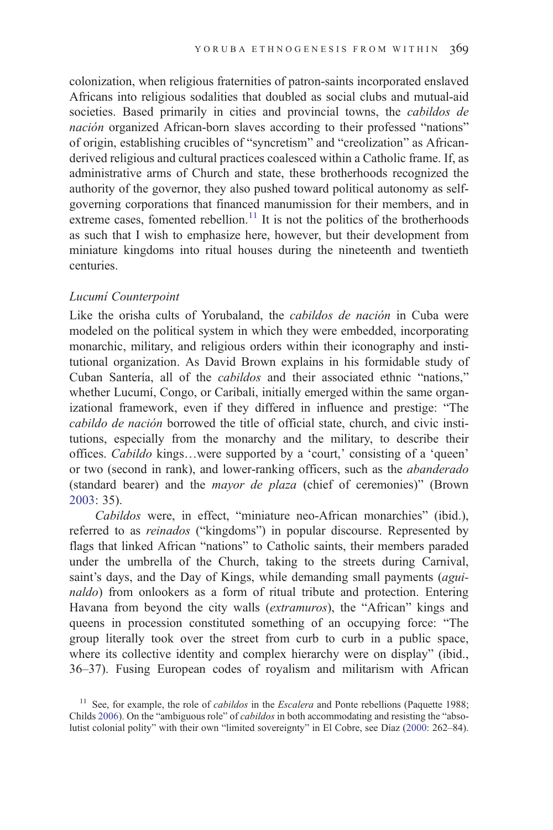colonization, when religious fraternities of patron-saints incorporated enslaved Africans into religious sodalities that doubled as social clubs and mutual-aid societies. Based primarily in cities and provincial towns, the *cabildos de* nación organized African-born slaves according to their professed "nations" of origin, establishing crucibles of "syncretism" and "creolization" as Africanderived religious and cultural practices coalesced within a Catholic frame. If, as administrative arms of Church and state, these brotherhoods recognized the authority of the governor, they also pushed toward political autonomy as selfgoverning corporations that financed manumission for their members, and in extreme cases, fomented rebellion.<sup>11</sup> It is not the politics of the brotherhoods as such that I wish to emphasize here, however, but their development from miniature kingdoms into ritual houses during the nineteenth and twentieth centuries.

### Lucumí Counterpoint

Like the orisha cults of Yorubaland, the cabildos de nación in Cuba were modeled on the political system in which they were embedded, incorporating monarchic, military, and religious orders within their iconography and institutional organization. As David Brown explains in his formidable study of Cuban Santería, all of the cabildos and their associated ethnic "nations," whether Lucumí, Congo, or Caribali, initially emerged within the same organizational framework, even if they differed in influence and prestige: "The cabildo de nación borrowed the title of official state, church, and civic institutions, especially from the monarchy and the military, to describe their offices. Cabildo kings…were supported by a 'court,' consisting of a 'queen' or two (second in rank), and lower-ranking officers, such as the abanderado (standard bearer) and the mayor de plaza (chief of ceremonies)" (Brown [2003](#page-28-0): 35).

Cabildos were, in effect, "miniature neo-African monarchies" (ibid.), referred to as *reinados* ("kingdoms") in popular discourse. Represented by flags that linked African "nations" to Catholic saints, their members paraded under the umbrella of the Church, taking to the streets during Carnival, saint's days, and the Day of Kings, while demanding small payments (aguinaldo) from onlookers as a form of ritual tribute and protection. Entering Havana from beyond the city walls (extramuros), the "African" kings and queens in procession constituted something of an occupying force: "The group literally took over the street from curb to curb in a public space, where its collective identity and complex hierarchy were on display" (ibid., 36–37). Fusing European codes of royalism and militarism with African

<sup>&</sup>lt;sup>11</sup> See, for example, the role of *cabildos* in the *Escalera* and Ponte rebellions (Paquette 1988; Childs [2006\)](#page-29-0). On the "ambiguous role" of cabildos in both accommodating and resisting the "absolutist colonial polity" with their own "limited sovereignty" in El Cobre, see Díaz [\(2000](#page-29-0): 262–84).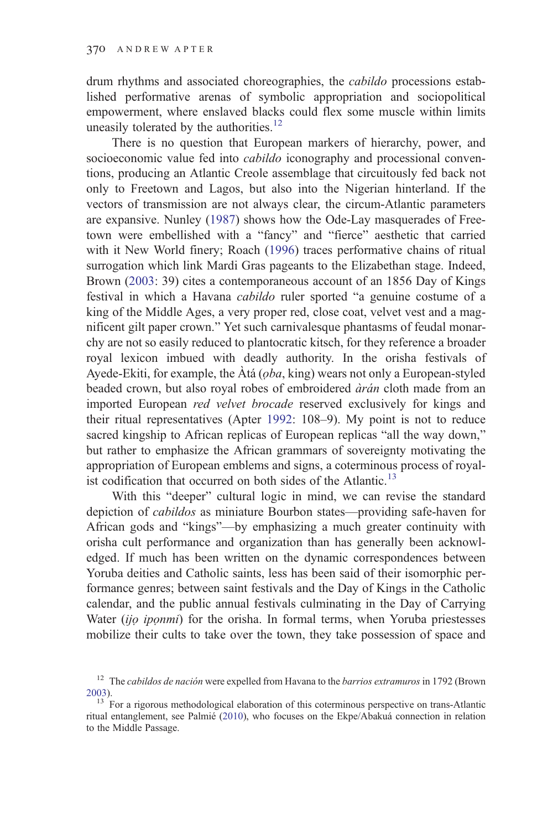drum rhythms and associated choreographies, the cabildo processions established performative arenas of symbolic appropriation and sociopolitical empowerment, where enslaved blacks could flex some muscle within limits uneasily tolerated by the authorities.<sup>12</sup>

There is no question that European markers of hierarchy, power, and socioeconomic value fed into *cabildo* iconography and processional conventions, producing an Atlantic Creole assemblage that circuitously fed back not only to Freetown and Lagos, but also into the Nigerian hinterland. If the vectors of transmission are not always clear, the circum-Atlantic parameters are expansive. Nunley ([1987\)](#page-30-0) shows how the Ode-Lay masquerades of Freetown were embellished with a "fancy" and "fierce" aesthetic that carried with it New World finery; Roach [\(1996](#page-31-0)) traces performative chains of ritual surrogation which link Mardi Gras pageants to the Elizabethan stage. Indeed, Brown ([2003:](#page-28-0) 39) cites a contemporaneous account of an 1856 Day of Kings festival in which a Havana cabildo ruler sported "a genuine costume of a king of the Middle Ages, a very proper red, close coat, velvet vest and a magnificent gilt paper crown." Yet such carnivalesque phantasms of feudal monarchy are not so easily reduced to plantocratic kitsch, for they reference a broader royal lexicon imbued with deadly authority. In the orisha festivals of Ayede-Ekiti, for example, the  $\hat{A}$ tá ( $\varphi$ ba, king) wears not only a European-styled beaded crown, but also royal robes of embroidered *àrán* cloth made from an imported European red velvet brocade reserved exclusively for kings and their ritual representatives (Apter [1992](#page-28-0): 108–9). My point is not to reduce sacred kingship to African replicas of European replicas "all the way down," but rather to emphasize the African grammars of sovereignty motivating the appropriation of European emblems and signs, a coterminous process of royalist codification that occurred on both sides of the Atlantic.<sup>13</sup>

With this "deeper" cultural logic in mind, we can revise the standard depiction of cabildos as miniature Bourbon states—providing safe-haven for African gods and "kings"—by emphasizing a much greater continuity with orisha cult performance and organization than has generally been acknowledged. If much has been written on the dynamic correspondences between Yoruba deities and Catholic saints, less has been said of their isomorphic performance genres; between saint festivals and the Day of Kings in the Catholic calendar, and the public annual festivals culminating in the Day of Carrying Water (ijo iponmi) for the orisha. In formal terms, when Yoruba priestesses mobilize their cults to take over the town, they take possession of space and

 $12$  The *cabildos de nación* were expelled from Havana to the *barrios extramuros* in 1792 (Brown [2003](#page-28-0)).<br><sup>13</sup> For a rigorous methodological elaboration of this coterminous perspective on trans-Atlantic

ritual entanglement, see Palmié ([2010\)](#page-30-0), who focuses on the Ekpe/Abakuá connection in relation to the Middle Passage.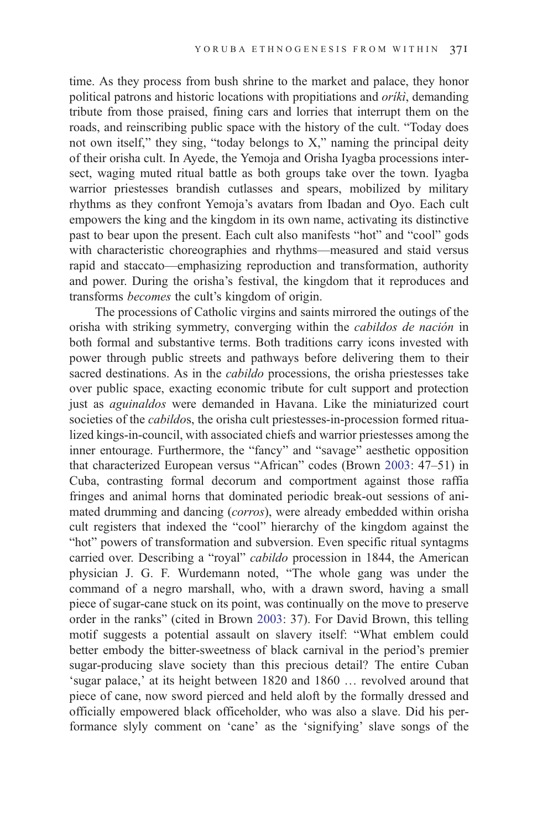time. As they process from bush shrine to the market and palace, they honor political patrons and historic locations with propitiations and *oriki*, demanding tribute from those praised, fining cars and lorries that interrupt them on the roads, and reinscribing public space with the history of the cult. "Today does not own itself," they sing, "today belongs to X," naming the principal deity of their orisha cult. In Ayede, the Yemoja and Orisha Iyagba processions intersect, waging muted ritual battle as both groups take over the town. Iyagba warrior priestesses brandish cutlasses and spears, mobilized by military rhythms as they confront Yemoja's avatars from Ibadan and Oyo. Each cult empowers the king and the kingdom in its own name, activating its distinctive past to bear upon the present. Each cult also manifests "hot" and "cool" gods with characteristic choreographies and rhythms—measured and staid versus rapid and staccato—emphasizing reproduction and transformation, authority and power. During the orisha's festival, the kingdom that it reproduces and transforms becomes the cult's kingdom of origin.

The processions of Catholic virgins and saints mirrored the outings of the orisha with striking symmetry, converging within the cabildos de nación in both formal and substantive terms. Both traditions carry icons invested with power through public streets and pathways before delivering them to their sacred destinations. As in the cabildo processions, the orisha priestesses take over public space, exacting economic tribute for cult support and protection just as *aguinaldos* were demanded in Havana. Like the miniaturized court societies of the *cabildos*, the orisha cult priestesses-in-procession formed ritualized kings-in-council, with associated chiefs and warrior priestesses among the inner entourage. Furthermore, the "fancy" and "savage" aesthetic opposition that characterized European versus "African" codes (Brown [2003:](#page-28-0) 47–51) in Cuba, contrasting formal decorum and comportment against those raffia fringes and animal horns that dominated periodic break-out sessions of animated drumming and dancing (corros), were already embedded within orisha cult registers that indexed the "cool" hierarchy of the kingdom against the "hot" powers of transformation and subversion. Even specific ritual syntagms carried over. Describing a "royal" cabildo procession in 1844, the American physician J. G. F. Wurdemann noted, "The whole gang was under the command of a negro marshall, who, with a drawn sword, having a small piece of sugar-cane stuck on its point, was continually on the move to preserve order in the ranks" (cited in Brown [2003:](#page-28-0) 37). For David Brown, this telling motif suggests a potential assault on slavery itself: "What emblem could better embody the bitter-sweetness of black carnival in the period's premier sugar-producing slave society than this precious detail? The entire Cuban 'sugar palace,' at its height between 1820 and 1860 … revolved around that piece of cane, now sword pierced and held aloft by the formally dressed and officially empowered black officeholder, who was also a slave. Did his performance slyly comment on 'cane' as the 'signifying' slave songs of the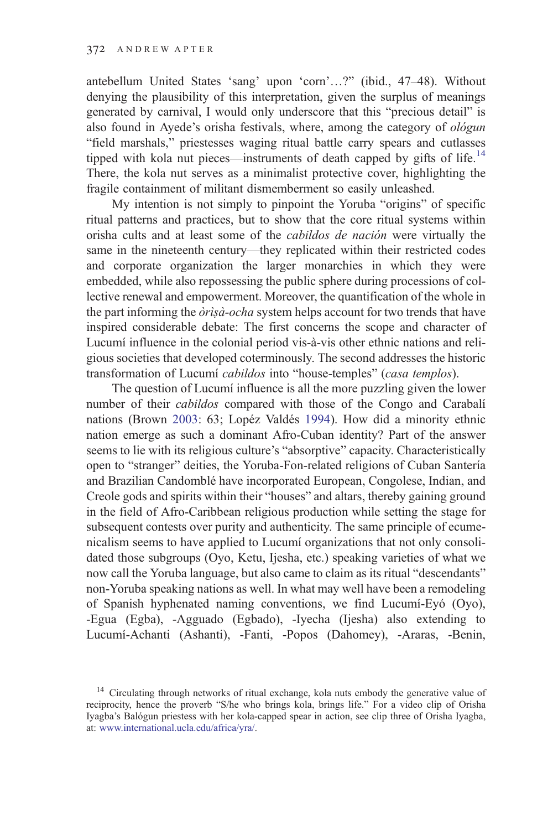antebellum United States 'sang' upon 'corn'…?" (ibid., 47–48). Without denying the plausibility of this interpretation, given the surplus of meanings generated by carnival, I would only underscore that this "precious detail" is also found in Ayede's orisha festivals, where, among the category of ológun "field marshals," priestesses waging ritual battle carry spears and cutlasses tipped with kola nut pieces—instruments of death capped by gifts of life.<sup>14</sup> There, the kola nut serves as a minimalist protective cover, highlighting the fragile containment of militant dismemberment so easily unleashed.

My intention is not simply to pinpoint the Yoruba "origins" of specific ritual patterns and practices, but to show that the core ritual systems within orisha cults and at least some of the cabildos de nación were virtually the same in the nineteenth century—they replicated within their restricted codes and corporate organization the larger monarchies in which they were embedded, while also repossessing the public sphere during processions of collective renewal and empowerment. Moreover, the quantification of the whole in the part informing the *òrìsà-ocha* system helps account for two trends that have inspired considerable debate: The first concerns the scope and character of Lucumí influence in the colonial period vis-à-vis other ethnic nations and religious societies that developed coterminously. The second addresses the historic transformation of Lucumí cabildos into "house-temples" (casa templos).

The question of Lucumí influence is all the more puzzling given the lower number of their cabildos compared with those of the Congo and Carabalí nations (Brown [2003:](#page-28-0) 63; Lopéz Valdés [1994](#page-30-0)). How did a minority ethnic nation emerge as such a dominant Afro-Cuban identity? Part of the answer seems to lie with its religious culture's "absorptive" capacity. Characteristically open to "stranger" deities, the Yoruba-Fon-related religions of Cuban Santería and Brazilian Candomblé have incorporated European, Congolese, Indian, and Creole gods and spirits within their "houses" and altars, thereby gaining ground in the field of Afro-Caribbean religious production while setting the stage for subsequent contests over purity and authenticity. The same principle of ecumenicalism seems to have applied to Lucumí organizations that not only consolidated those subgroups (Oyo, Ketu, Ijesha, etc.) speaking varieties of what we now call the Yoruba language, but also came to claim as its ritual "descendants" non-Yoruba speaking nations as well. In what may well have been a remodeling of Spanish hyphenated naming conventions, we find Lucumí-Eyó (Oyo), -Egua (Egba), -Agguado (Egbado), -Iyecha (Ijesha) also extending to Lucumí-Achanti (Ashanti), -Fanti, -Popos (Dahomey), -Araras, -Benin,

<sup>&</sup>lt;sup>14</sup> Circulating through networks of ritual exchange, kola nuts embody the generative value of reciprocity, hence the proverb "S/he who brings kola, brings life." For a video clip of Orisha Iyagba's Balógun priestess with her kola-capped spear in action, see clip three of Orisha Iyagba, at: [www.international.ucla.edu/africa/yra/.](http://www.international.ucla.edu/africa/yra/)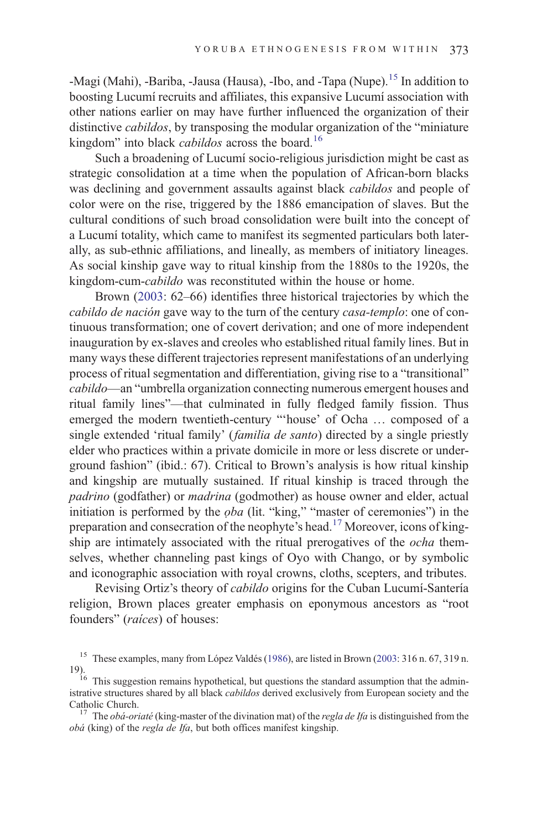-Magi (Mahi), -Bariba, -Jausa (Hausa), -Ibo, and -Tapa (Nupe).<sup>15</sup> In addition to boosting Lucumí recruits and affiliates, this expansive Lucumí association with other nations earlier on may have further influenced the organization of their distinctive cabildos, by transposing the modular organization of the "miniature kingdom" into black *cabildos* across the board.<sup>16</sup>

Such a broadening of Lucumí socio-religious jurisdiction might be cast as strategic consolidation at a time when the population of African-born blacks was declining and government assaults against black cabildos and people of color were on the rise, triggered by the 1886 emancipation of slaves. But the cultural conditions of such broad consolidation were built into the concept of a Lucumí totality, which came to manifest its segmented particulars both laterally, as sub-ethnic affiliations, and lineally, as members of initiatory lineages. As social kinship gave way to ritual kinship from the 1880s to the 1920s, the kingdom-cum-cabildo was reconstituted within the house or home.

Brown ([2003:](#page-28-0) 62–66) identifies three historical trajectories by which the cabildo de nación gave way to the turn of the century casa-templo: one of continuous transformation; one of covert derivation; and one of more independent inauguration by ex-slaves and creoles who established ritual family lines. But in many ways these different trajectories represent manifestations of an underlying process of ritual segmentation and differentiation, giving rise to a "transitional" cabildo—an "umbrella organization connecting numerous emergent houses and ritual family lines"—that culminated in fully fledged family fission. Thus emerged the modern twentieth-century "'house' of Ocha … composed of a single extended 'ritual family' (familia de santo) directed by a single priestly elder who practices within a private domicile in more or less discrete or underground fashion" (ibid.: 67). Critical to Brown's analysis is how ritual kinship and kingship are mutually sustained. If ritual kinship is traced through the padrino (godfather) or madrina (godmother) as house owner and elder, actual initiation is performed by the *oba* (lit. "king," "master of ceremonies") in the preparation and consecration of the neophyte's head.<sup>17</sup> Moreover, icons of kingship are intimately associated with the ritual prerogatives of the *ocha* themselves, whether channeling past kings of Oyo with Chango, or by symbolic and iconographic association with royal crowns, cloths, scepters, and tributes.

Revising Ortiz's theory of cabildo origins for the Cuban Lucumí-Santería religion, Brown places greater emphasis on eponymous ancestors as "root founders" (raíces) of houses:

obá (king) of the regla de Ifa, but both offices manifest kingship.

<sup>&</sup>lt;sup>15</sup> These examples, many from López Valdés ([1986\)](#page-30-0), are listed in Brown [\(2003](#page-28-0): 316 n. 67, 319 n.

<sup>19).&</sup>lt;br><sup>16</sup> This suggestion remains hypothetical, but questions the standard assumption that the admin-<br><sup>16</sup> This suggestion remains hypothetical, but questions the standard assumption functions society and the istrative structures shared by all black cabildos derived exclusively from European society and the Catholic Church.<br><sup>17</sup> The *obá-oriaté* (king-master of the divination mat) of the *regla de Ifa* is distinguished from the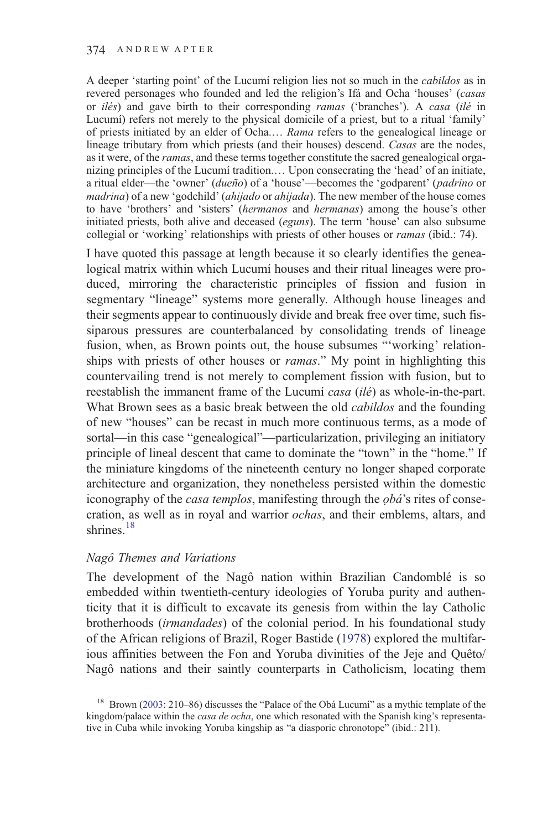A deeper 'starting point' of the Lucumí religion lies not so much in the cabildos as in revered personages who founded and led the religion's Ifá and Ocha 'houses' (casas or *ilés*) and gave birth to their corresponding *ramas* ('branches'). A *casa* (ilé in Lucumí) refers not merely to the physical domicile of a priest, but to a ritual 'family' of priests initiated by an elder of Ocha.… Rama refers to the genealogical lineage or lineage tributary from which priests (and their houses) descend. Casas are the nodes, as it were, of the *ramas*, and these terms together constitute the sacred genealogical organizing principles of the Lucumí tradition.… Upon consecrating the 'head' of an initiate, a ritual elder—the 'owner' (dueño) of a 'house'—becomes the 'godparent' (padrino or madrina) of a new 'godchild' (ahijado or ahijada). The new member of the house comes to have 'brothers' and 'sisters' (hermanos and hermanas) among the house's other initiated priests, both alive and deceased (eguns). The term 'house' can also subsume collegial or 'working' relationships with priests of other houses or *ramas* (ibid.: 74).

I have quoted this passage at length because it so clearly identifies the genealogical matrix within which Lucumí houses and their ritual lineages were produced, mirroring the characteristic principles of fission and fusion in segmentary "lineage" systems more generally. Although house lineages and their segments appear to continuously divide and break free over time, such fissiparous pressures are counterbalanced by consolidating trends of lineage fusion, when, as Brown points out, the house subsumes "'working' relationships with priests of other houses or *ramas*." My point in highlighting this countervailing trend is not merely to complement fission with fusion, but to reestablish the immanent frame of the Lucumí casa (ilé) as whole-in-the-part. What Brown sees as a basic break between the old *cabildos* and the founding of new "houses" can be recast in much more continuous terms, as a mode of sortal—in this case "genealogical"—particularization, privileging an initiatory principle of lineal descent that came to dominate the "town" in the "home." If the miniature kingdoms of the nineteenth century no longer shaped corporate architecture and organization, they nonetheless persisted within the domestic iconography of the *casa templos*, manifesting through the *obá*'s rites of consecration, as well as in royal and warrior ochas, and their emblems, altars, and shrines.<sup>18</sup>

## Nagô Themes and Variations

The development of the Nagô nation within Brazilian Candomblé is so embedded within twentieth-century ideologies of Yoruba purity and authenticity that it is difficult to excavate its genesis from within the lay Catholic brotherhoods (irmandades) of the colonial period. In his foundational study of the African religions of Brazil, Roger Bastide [\(1978](#page-28-0)) explored the multifarious affinities between the Fon and Yoruba divinities of the Jeje and Quêto/ Nagô nations and their saintly counterparts in Catholicism, locating them

<sup>&</sup>lt;sup>18</sup> Brown ([2003](#page-28-0): 210–86) discusses the "Palace of the Obá Lucumí" as a mythic template of the kingdom/palace within the *casa de ocha*, one which resonated with the Spanish king's representative in Cuba while invoking Yoruba kingship as "a diasporic chronotope" (ibid.: 211).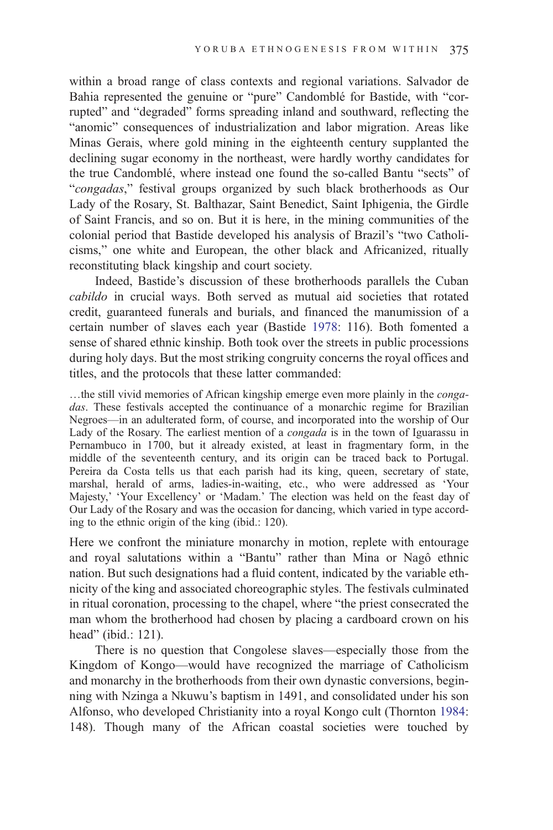within a broad range of class contexts and regional variations. Salvador de Bahia represented the genuine or "pure" Candomblé for Bastide, with "corrupted" and "degraded" forms spreading inland and southward, reflecting the "anomic" consequences of industrialization and labor migration. Areas like Minas Gerais, where gold mining in the eighteenth century supplanted the declining sugar economy in the northeast, were hardly worthy candidates for the true Candomblé, where instead one found the so-called Bantu "sects" of "congadas," festival groups organized by such black brotherhoods as Our Lady of the Rosary, St. Balthazar, Saint Benedict, Saint Iphigenia, the Girdle of Saint Francis, and so on. But it is here, in the mining communities of the colonial period that Bastide developed his analysis of Brazil's "two Catholicisms," one white and European, the other black and Africanized, ritually reconstituting black kingship and court society.

Indeed, Bastide's discussion of these brotherhoods parallels the Cuban cabildo in crucial ways. Both served as mutual aid societies that rotated credit, guaranteed funerals and burials, and financed the manumission of a certain number of slaves each year (Bastide [1978:](#page-28-0) 116). Both fomented a sense of shared ethnic kinship. Both took over the streets in public processions during holy days. But the most striking congruity concerns the royal offices and titles, and the protocols that these latter commanded:

…the still vivid memories of African kingship emerge even more plainly in the congadas. These festivals accepted the continuance of a monarchic regime for Brazilian Negroes—in an adulterated form, of course, and incorporated into the worship of Our Lady of the Rosary. The earliest mention of a *congada* is in the town of Iguarassu in Pernambuco in 1700, but it already existed, at least in fragmentary form, in the middle of the seventeenth century, and its origin can be traced back to Portugal. Pereira da Costa tells us that each parish had its king, queen, secretary of state, marshal, herald of arms, ladies-in-waiting, etc., who were addressed as 'Your Majesty,' 'Your Excellency' or 'Madam.' The election was held on the feast day of Our Lady of the Rosary and was the occasion for dancing, which varied in type according to the ethnic origin of the king (ibid.: 120).

Here we confront the miniature monarchy in motion, replete with entourage and royal salutations within a "Bantu" rather than Mina or Nagô ethnic nation. But such designations had a fluid content, indicated by the variable ethnicity of the king and associated choreographic styles. The festivals culminated in ritual coronation, processing to the chapel, where "the priest consecrated the man whom the brotherhood had chosen by placing a cardboard crown on his head" (ibid.: 121).

There is no question that Congolese slaves—especially those from the Kingdom of Kongo—would have recognized the marriage of Catholicism and monarchy in the brotherhoods from their own dynastic conversions, beginning with Nzinga a Nkuwu's baptism in 1491, and consolidated under his son Alfonso, who developed Christianity into a royal Kongo cult (Thornton [1984:](#page-31-0) 148). Though many of the African coastal societies were touched by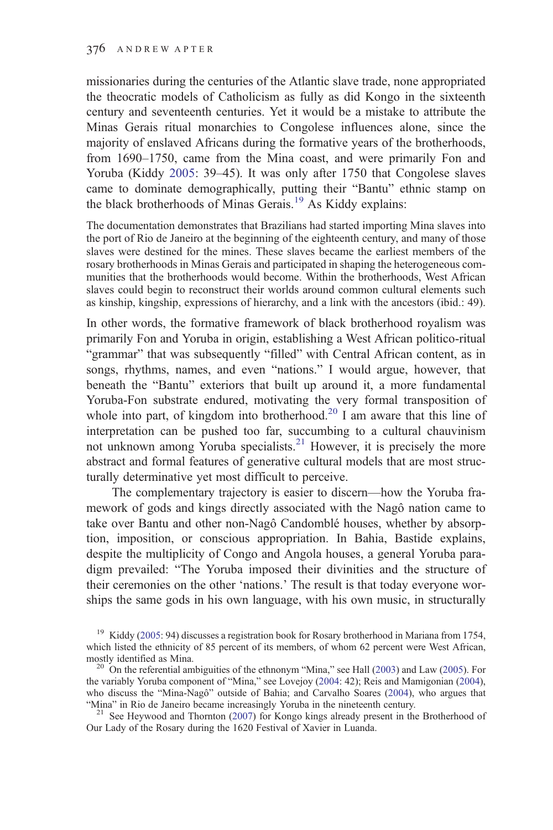missionaries during the centuries of the Atlantic slave trade, none appropriated the theocratic models of Catholicism as fully as did Kongo in the sixteenth century and seventeenth centuries. Yet it would be a mistake to attribute the Minas Gerais ritual monarchies to Congolese influences alone, since the majority of enslaved Africans during the formative years of the brotherhoods, from 1690–1750, came from the Mina coast, and were primarily Fon and Yoruba (Kiddy [2005](#page-29-0): 39–45). It was only after 1750 that Congolese slaves came to dominate demographically, putting their "Bantu" ethnic stamp on the black brotherhoods of Minas Gerais.<sup>19</sup> As Kiddy explains:

The documentation demonstrates that Brazilians had started importing Mina slaves into the port of Rio de Janeiro at the beginning of the eighteenth century, and many of those slaves were destined for the mines. These slaves became the earliest members of the rosary brotherhoods in Minas Gerais and participated in shaping the heterogeneous communities that the brotherhoods would become. Within the brotherhoods, West African slaves could begin to reconstruct their worlds around common cultural elements such as kinship, kingship, expressions of hierarchy, and a link with the ancestors (ibid.: 49).

In other words, the formative framework of black brotherhood royalism was primarily Fon and Yoruba in origin, establishing a West African politico-ritual "grammar" that was subsequently "filled" with Central African content, as in songs, rhythms, names, and even "nations." I would argue, however, that beneath the "Bantu" exteriors that built up around it, a more fundamental Yoruba-Fon substrate endured, motivating the very formal transposition of whole into part, of kingdom into brotherhood.<sup>20</sup> I am aware that this line of interpretation can be pushed too far, succumbing to a cultural chauvinism not unknown among Yoruba specialists.<sup>21</sup> However, it is precisely the more abstract and formal features of generative cultural models that are most structurally determinative yet most difficult to perceive.

The complementary trajectory is easier to discern—how the Yoruba framework of gods and kings directly associated with the Nagô nation came to take over Bantu and other non-Nagô Candomblé houses, whether by absorption, imposition, or conscious appropriation. In Bahia, Bastide explains, despite the multiplicity of Congo and Angola houses, a general Yoruba paradigm prevailed: "The Yoruba imposed their divinities and the structure of their ceremonies on the other 'nations.' The result is that today everyone worships the same gods in his own language, with his own music, in structurally

Our Lady of the Rosary during the 1620 Festival of Xavier in Luanda.

<sup>&</sup>lt;sup>19</sup> Kiddy ([2005](#page-29-0): 94) discusses a registration book for Rosary brotherhood in Mariana from 1754, which listed the ethnicity of 85 percent of its members, of whom 62 percent were West African, mostly identified as Mina.<br><sup>20</sup> On the referential ambiguities of the ethnonym "Mina," see Hall [\(2003](#page-29-0)) and Law ([2005\)](#page-29-0). For

the variably Yoruba component of "Mina," see Lovejoy [\(2004](#page-30-0): 42); Reis and Mamigonian ([2004\)](#page-30-0), who discuss the "Mina-Nagô" outside of Bahia; and Carvalho Soares [\(2004](#page-29-0)), who argues that "Mina" in Rio de Janeiro became increasingly Yoruba in the nineteenth century.<br><sup>21</sup> See Heywood and Thornton [\(2007](#page-29-0)) for Kongo kings already present in the Brotherhood of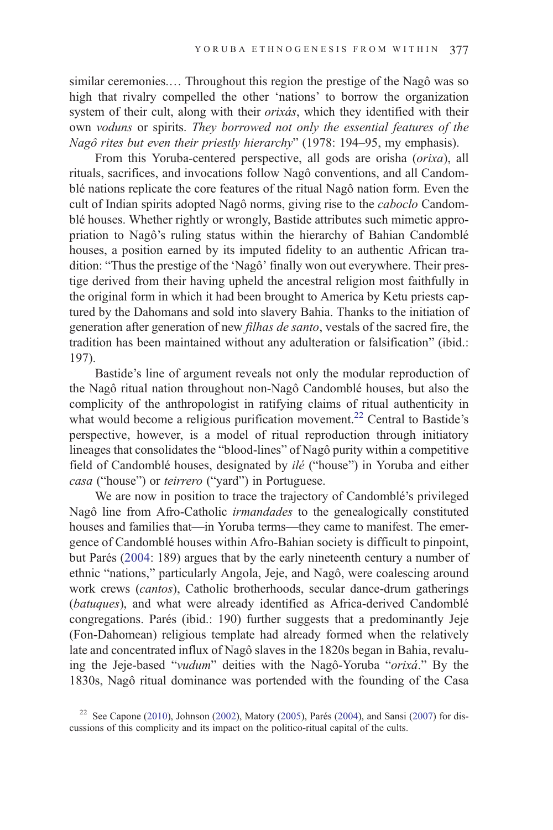similar ceremonies.… Throughout this region the prestige of the Nagô was so high that rivalry compelled the other 'nations' to borrow the organization system of their cult, along with their orixás, which they identified with their own voduns or spirits. They borrowed not only the essential features of the Nagô rites but even their priestly hierarchy" (1978: 194–95, my emphasis).

From this Yoruba-centered perspective, all gods are orisha (orixa), all rituals, sacrifices, and invocations follow Nagô conventions, and all Candomblé nations replicate the core features of the ritual Nagô nation form. Even the cult of Indian spirits adopted Nagô norms, giving rise to the caboclo Candomblé houses. Whether rightly or wrongly, Bastide attributes such mimetic appropriation to Nagô's ruling status within the hierarchy of Bahian Candomblé houses, a position earned by its imputed fidelity to an authentic African tradition: "Thus the prestige of the 'Nagô' finally won out everywhere. Their prestige derived from their having upheld the ancestral religion most faithfully in the original form in which it had been brought to America by Ketu priests captured by the Dahomans and sold into slavery Bahia. Thanks to the initiation of generation after generation of new filhas de santo, vestals of the sacred fire, the tradition has been maintained without any adulteration or falsification" (ibid.: 197).

Bastide's line of argument reveals not only the modular reproduction of the Nagô ritual nation throughout non-Nagô Candomblé houses, but also the complicity of the anthropologist in ratifying claims of ritual authenticity in what would become a religious purification movement.<sup>22</sup> Central to Bastide's perspective, however, is a model of ritual reproduction through initiatory lineages that consolidates the "blood-lines" of Nagô purity within a competitive field of Candomblé houses, designated by ilé ("house") in Yoruba and either casa ("house") or teirrero ("yard") in Portuguese.

We are now in position to trace the trajectory of Candomblé's privileged Nagô line from Afro-Catholic irmandades to the genealogically constituted houses and families that—in Yoruba terms—they came to manifest. The emergence of Candomblé houses within Afro-Bahian society is difficult to pinpoint, but Parés [\(2004](#page-30-0): 189) argues that by the early nineteenth century a number of ethnic "nations," particularly Angola, Jeje, and Nagô, were coalescing around work crews (cantos), Catholic brotherhoods, secular dance-drum gatherings (batuques), and what were already identified as Africa-derived Candomblé congregations. Parés (ibid.: 190) further suggests that a predominantly Jeje (Fon-Dahomean) religious template had already formed when the relatively late and concentrated influx of Nagô slaves in the 1820s began in Bahia, revaluing the Jeje-based "vudum" deities with the Nagô-Yoruba "orixá." By the 1830s, Nagô ritual dominance was portended with the founding of the Casa

<sup>&</sup>lt;sup>22</sup> See Capone ([2010\)](#page-28-0), Johnson [\(2002](#page-29-0)), Matory [\(2005](#page-30-0)), Parés ([2004\)](#page-30-0), and Sansi [\(2007](#page-31-0)) for discussions of this complicity and its impact on the politico-ritual capital of the cults.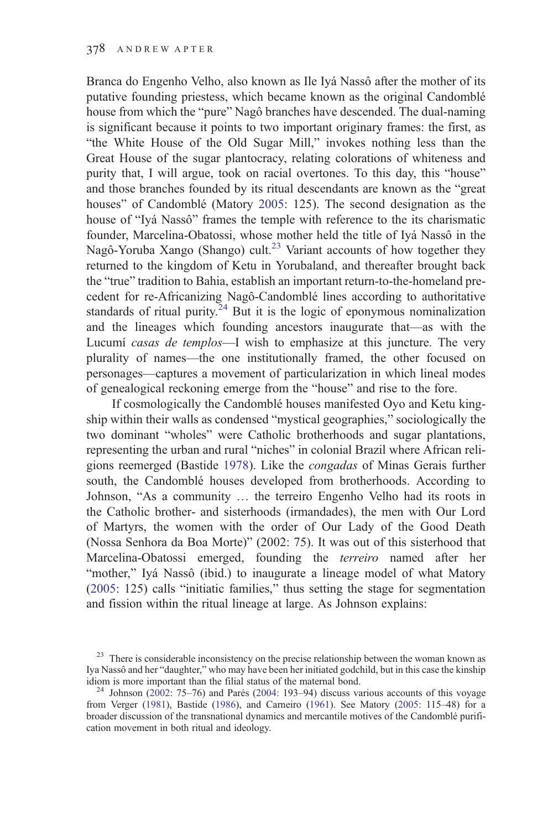Branca do Engenho Velho, also known as Ile Iyá Nassô after the mother of its putative founding priestess, which became known as the original Candomblé house from which the "pure" Nagô branches have descended. The dual-naming is significant because it points to two important originary frames: the first, as "the White House of the Old Sugar Mill," invokes nothing less than the Great House of the sugar plantocracy, relating colorations of whiteness and purity that, I will argue, took on racial overtones. To this day, this "house" and those branches founded by its ritual descendants are known as the "great houses" of Candomblé (Matory [2005](#page-30-0): 125). The second designation as the house of "Iyá Nassô" frames the temple with reference to the its charismatic founder, Marcelina-Obatossi, whose mother held the title of Iyá Nassô in the Nagô-Yoruba Xango (Shango) cult.<sup>23</sup> Variant accounts of how together they returned to the kingdom of Ketu in Yorubaland, and thereafter brought back the "true" tradition to Bahia, establish an important return-to-the-homeland precedent for re-Africanizing Nagô-Candomblé lines according to authoritative standards of ritual purity.<sup>24</sup> But it is the logic of eponymous nominalization and the lineages which founding ancestors inaugurate that—as with the Lucumí casas de templos—I wish to emphasize at this juncture. The very plurality of names—the one institutionally framed, the other focused on personages—captures a movement of particularization in which lineal modes of genealogical reckoning emerge from the "house" and rise to the fore.

If cosmologically the Candomblé houses manifested Oyo and Ketu kingship within their walls as condensed "mystical geographies," sociologically the two dominant "wholes" were Catholic brotherhoods and sugar plantations, representing the urban and rural "niches" in colonial Brazil where African religions reemerged (Bastide [1978](#page-28-0)). Like the congadas of Minas Gerais further south, the Candomblé houses developed from brotherhoods. According to Johnson, "As a community … the terreiro Engenho Velho had its roots in the Catholic brother- and sisterhoods (irmandades), the men with Our Lord of Martyrs, the women with the order of Our Lady of the Good Death (Nossa Senhora da Boa Morte)" (2002: 75). It was out of this sisterhood that Marcelina-Obatossi emerged, founding the terreiro named after her "mother," Iyá Nassô (ibid.) to inaugurate a lineage model of what Matory ([2005:](#page-30-0) 125) calls "initiatic families," thus setting the stage for segmentation and fission within the ritual lineage at large. As Johnson explains:

<sup>&</sup>lt;sup>23</sup> There is considerable inconsistency on the precise relationship between the woman known as Iya Nassô and her "daughter," who may have been her initiated godchild, but in this case the kinship

<sup>&</sup>lt;sup>24</sup> Johnson ([2002:](#page-29-0) 75–76) and Parés [\(2004](#page-30-0): 193–94) discuss various accounts of this voyage from Verger ([1981\)](#page-31-0), Bastide [\(1986](#page-28-0)), and Carneiro ([1961\)](#page-29-0). See Matory ([2005:](#page-30-0) 115–48) for a broader discussion of the transnational dynamics and mercantile motives of the Candomblé purification movement in both ritual and ideology.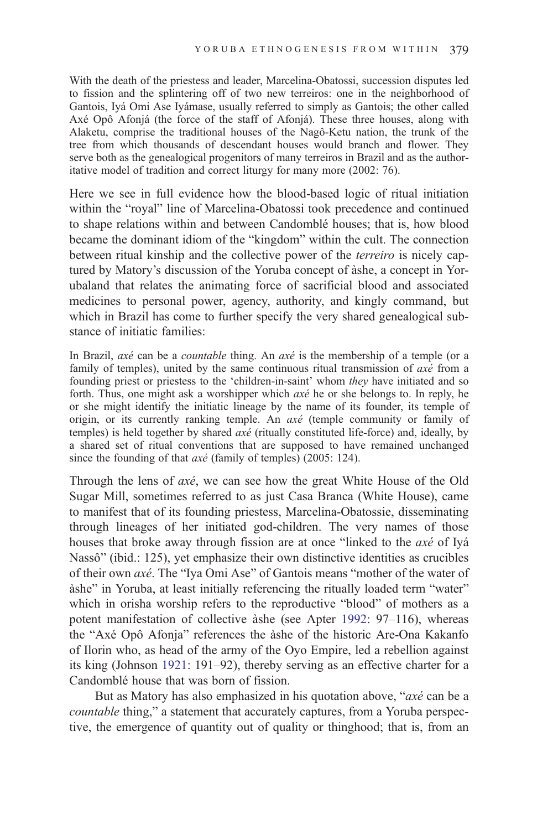With the death of the priestess and leader, Marcelina-Obatossi, succession disputes led to fission and the splintering off of two new terreiros: one in the neighborhood of Gantois, Iyá Omi Ase Iyámase, usually referred to simply as Gantois; the other called Axé Opô Afonjá (the force of the staff of Afonjá). These three houses, along with Alaketu, comprise the traditional houses of the Nagô-Ketu nation, the trunk of the tree from which thousands of descendant houses would branch and flower. They serve both as the genealogical progenitors of many terreiros in Brazil and as the authoritative model of tradition and correct liturgy for many more (2002: 76).

Here we see in full evidence how the blood-based logic of ritual initiation within the "royal" line of Marcelina-Obatossi took precedence and continued to shape relations within and between Candomblé houses; that is, how blood became the dominant idiom of the "kingdom" within the cult. The connection between ritual kinship and the collective power of the terreiro is nicely captured by Matory's discussion of the Yoruba concept of àshe, a concept in Yorubaland that relates the animating force of sacrificial blood and associated medicines to personal power, agency, authority, and kingly command, but which in Brazil has come to further specify the very shared genealogical substance of initiatic families:

In Brazil, *axé* can be a *countable* thing. An *axé* is the membership of a temple (or a family of temples), united by the same continuous ritual transmission of  $ax\acute{e}$  from a founding priest or priestess to the 'children-in-saint' whom they have initiated and so forth. Thus, one might ask a worshipper which axé he or she belongs to. In reply, he or she might identify the initiatic lineage by the name of its founder, its temple of origin, or its currently ranking temple. An axé (temple community or family of temples) is held together by shared axé (ritually constituted life-force) and, ideally, by a shared set of ritual conventions that are supposed to have remained unchanged since the founding of that  $axé$  (family of temples) (2005: 124).

Through the lens of axé, we can see how the great White House of the Old Sugar Mill, sometimes referred to as just Casa Branca (White House), came to manifest that of its founding priestess, Marcelina-Obatossie, disseminating through lineages of her initiated god-children. The very names of those houses that broke away through fission are at once "linked to the axé of Iyá Nassô" (ibid.: 125), yet emphasize their own distinctive identities as crucibles of their own axé. The "Iya Omi Ase" of Gantois means "mother of the water of àshe" in Yoruba, at least initially referencing the ritually loaded term "water" which in orisha worship refers to the reproductive "blood" of mothers as a potent manifestation of collective àshe (see Apter [1992:](#page-28-0) 97–116), whereas the "Axé Opô Afonja" references the àshe of the historic Are-Ona Kakanfo of Ilorin who, as head of the army of the Oyo Empire, led a rebellion against its king (Johnson [1921](#page-29-0): 191–92), thereby serving as an effective charter for a Candomblé house that was born of fission.

But as Matory has also emphasized in his quotation above, "axé can be a countable thing," a statement that accurately captures, from a Yoruba perspective, the emergence of quantity out of quality or thinghood; that is, from an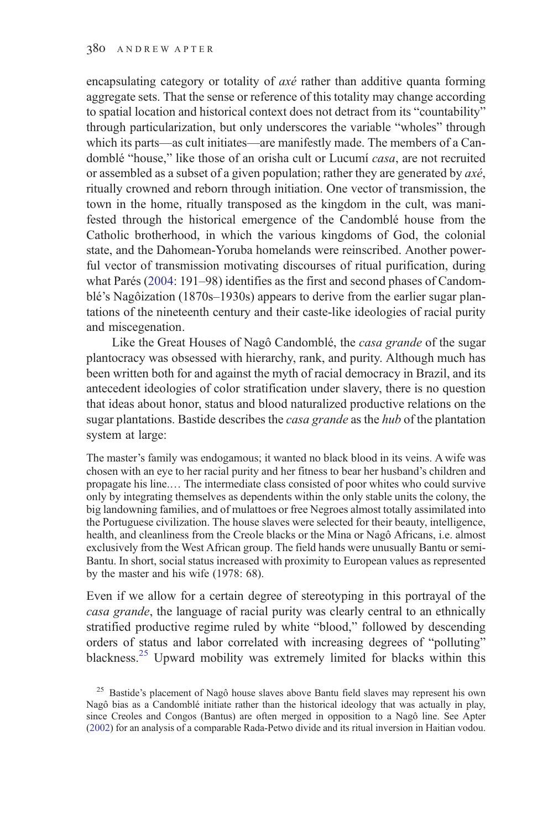encapsulating category or totality of *axé* rather than additive quanta forming aggregate sets. That the sense or reference of this totality may change according to spatial location and historical context does not detract from its "countability" through particularization, but only underscores the variable "wholes" through which its parts—as cult initiates—are manifestly made. The members of a Candomblé "house," like those of an orisha cult or Lucumí *casa*, are not recruited or assembled as a subset of a given population; rather they are generated by  $ax\acute{e}$ , ritually crowned and reborn through initiation. One vector of transmission, the town in the home, ritually transposed as the kingdom in the cult, was manifested through the historical emergence of the Candomblé house from the Catholic brotherhood, in which the various kingdoms of God, the colonial state, and the Dahomean-Yoruba homelands were reinscribed. Another powerful vector of transmission motivating discourses of ritual purification, during what Parés ([2004:](#page-30-0) 191–98) identifies as the first and second phases of Candomblé's Nagôization (1870s–1930s) appears to derive from the earlier sugar plantations of the nineteenth century and their caste-like ideologies of racial purity and miscegenation.

Like the Great Houses of Nagô Candomblé, the casa grande of the sugar plantocracy was obsessed with hierarchy, rank, and purity. Although much has been written both for and against the myth of racial democracy in Brazil, and its antecedent ideologies of color stratification under slavery, there is no question that ideas about honor, status and blood naturalized productive relations on the sugar plantations. Bastide describes the *casa grande* as the *hub* of the plantation system at large:

The master's family was endogamous; it wanted no black blood in its veins. A wife was chosen with an eye to her racial purity and her fitness to bear her husband's children and propagate his line.… The intermediate class consisted of poor whites who could survive only by integrating themselves as dependents within the only stable units the colony, the big landowning families, and of mulattoes or free Negroes almost totally assimilated into the Portuguese civilization. The house slaves were selected for their beauty, intelligence, health, and cleanliness from the Creole blacks or the Mina or Nagô Africans, i.e. almost exclusively from the West African group. The field hands were unusually Bantu or semi-Bantu. In short, social status increased with proximity to European values as represented by the master and his wife (1978: 68).

Even if we allow for a certain degree of stereotyping in this portrayal of the casa grande, the language of racial purity was clearly central to an ethnically stratified productive regime ruled by white "blood," followed by descending orders of status and labor correlated with increasing degrees of "polluting" blackness.<sup>25</sup> Upward mobility was extremely limited for blacks within this

<sup>&</sup>lt;sup>25</sup> Bastide's placement of Nagô house slaves above Bantu field slaves may represent his own Nagô bias as a Candomblé initiate rather than the historical ideology that was actually in play, since Creoles and Congos (Bantus) are often merged in opposition to a Nagô line. See Apter ([2002\)](#page-28-0) for an analysis of a comparable Rada-Petwo divide and its ritual inversion in Haitian vodou.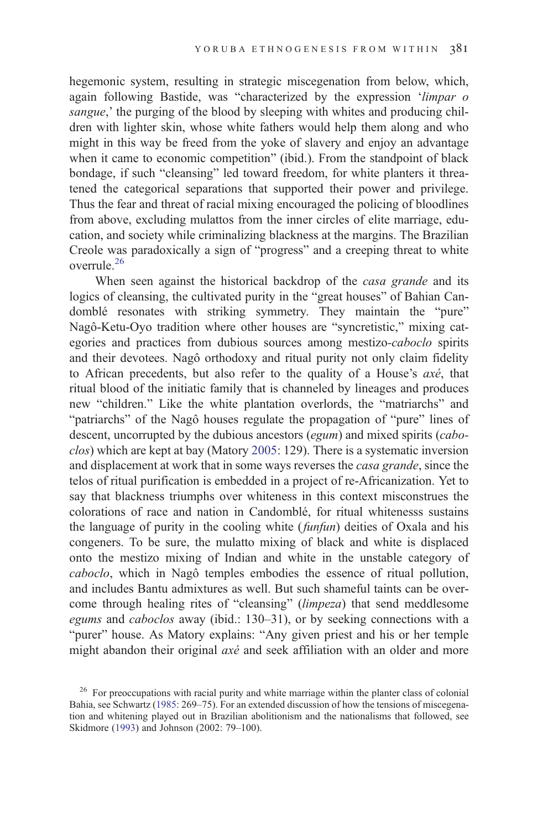hegemonic system, resulting in strategic miscegenation from below, which, again following Bastide, was "characterized by the expression 'limpar o sangue,' the purging of the blood by sleeping with whites and producing children with lighter skin, whose white fathers would help them along and who might in this way be freed from the yoke of slavery and enjoy an advantage when it came to economic competition" (ibid.). From the standpoint of black bondage, if such "cleansing" led toward freedom, for white planters it threatened the categorical separations that supported their power and privilege. Thus the fear and threat of racial mixing encouraged the policing of bloodlines from above, excluding mulattos from the inner circles of elite marriage, education, and society while criminalizing blackness at the margins. The Brazilian Creole was paradoxically a sign of "progress" and a creeping threat to white overrule.<sup>26</sup>

When seen against the historical backdrop of the *casa grande* and its logics of cleansing, the cultivated purity in the "great houses" of Bahian Candomblé resonates with striking symmetry. They maintain the "pure" Nagô-Ketu-Oyo tradition where other houses are "syncretistic," mixing categories and practices from dubious sources among mestizo-caboclo spirits and their devotees. Nagô orthodoxy and ritual purity not only claim fidelity to African precedents, but also refer to the quality of a House's axé, that ritual blood of the initiatic family that is channeled by lineages and produces new "children." Like the white plantation overlords, the "matriarchs" and "patriarchs" of the Nagô houses regulate the propagation of "pure" lines of descent, uncorrupted by the dubious ancestors (egum) and mixed spirits (cabo-clos) which are kept at bay (Matory [2005:](#page-30-0) 129). There is a systematic inversion and displacement at work that in some ways reverses the casa grande, since the telos of ritual purification is embedded in a project of re-Africanization. Yet to say that blackness triumphs over whiteness in this context misconstrues the colorations of race and nation in Candomblé, for ritual whitenesss sustains the language of purity in the cooling white (funfun) deities of Oxala and his congeners. To be sure, the mulatto mixing of black and white is displaced onto the mestizo mixing of Indian and white in the unstable category of caboclo, which in Nagô temples embodies the essence of ritual pollution, and includes Bantu admixtures as well. But such shameful taints can be overcome through healing rites of "cleansing" (limpeza) that send meddlesome egums and caboclos away (ibid.: 130–31), or by seeking connections with a "purer" house. As Matory explains: "Any given priest and his or her temple might abandon their original axé and seek affiliation with an older and more

<sup>&</sup>lt;sup>26</sup> For preoccupations with racial purity and white marriage within the planter class of colonial Bahia, see Schwartz ([1985:](#page-31-0) 269–75). For an extended discussion of how the tensions of miscegenation and whitening played out in Brazilian abolitionism and the nationalisms that followed, see Skidmore ([1993\)](#page-31-0) and Johnson (2002: 79–100).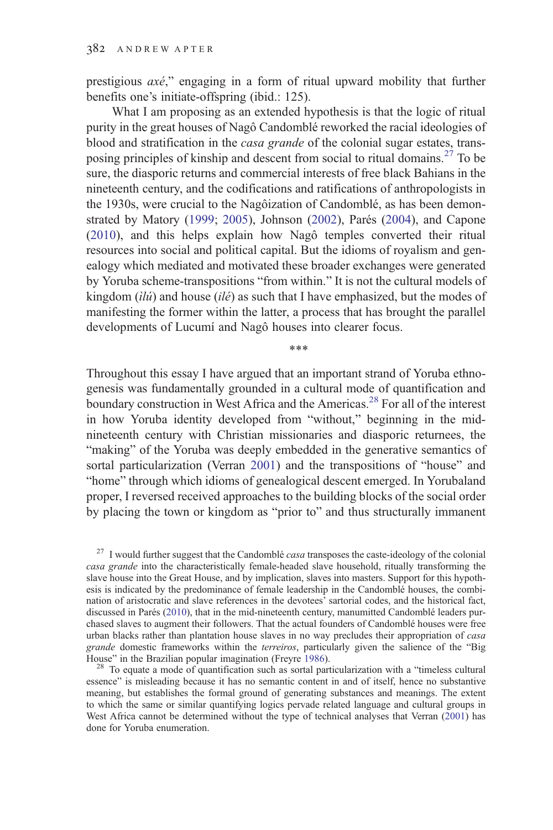prestigious axé," engaging in a form of ritual upward mobility that further benefits one's initiate-offspring (ibid.: 125).

What I am proposing as an extended hypothesis is that the logic of ritual purity in the great houses of Nagô Candomblé reworked the racial ideologies of blood and stratification in the casa grande of the colonial sugar estates, transposing principles of kinship and descent from social to ritual domains.<sup>27</sup> To be sure, the diasporic returns and commercial interests of free black Bahians in the nineteenth century, and the codifications and ratifications of anthropologists in the 1930s, were crucial to the Nagôization of Candomblé, as has been demonstrated by Matory ([1999;](#page-30-0) [2005](#page-30-0)), Johnson [\(2002](#page-29-0)), Parés [\(2004](#page-30-0)), and Capone ([2010\)](#page-28-0), and this helps explain how Nagô temples converted their ritual resources into social and political capital. But the idioms of royalism and genealogy which mediated and motivated these broader exchanges were generated by Yoruba scheme-transpositions "from within." It is not the cultural models of kingdom  $(ili)$  and house  $(il\acute{e})$  as such that I have emphasized, but the modes of manifesting the former within the latter, a process that has brought the parallel developments of Lucumí and Nagô houses into clearer focus.

Throughout this essay I have argued that an important strand of Yoruba ethnogenesis was fundamentally grounded in a cultural mode of quantification and boundary construction in West Africa and the Americas.<sup>28</sup> For all of the interest in how Yoruba identity developed from "without," beginning in the midnineteenth century with Christian missionaries and diasporic returnees, the "making" of the Yoruba was deeply embedded in the generative semantics of sortal particularization (Verran [2001\)](#page-31-0) and the transpositions of "house" and "home" through which idioms of genealogical descent emerged. In Yorubaland proper, I reversed received approaches to the building blocks of the social order by placing the town or kingdom as "prior to" and thus structurally immanent

\*\*\*

 $27$  I would further suggest that the Candomblé *casa* transposes the caste-ideology of the colonial casa grande into the characteristically female-headed slave household, ritually transforming the slave house into the Great House, and by implication, slaves into masters. Support for this hypothesis is indicated by the predominance of female leadership in the Candomblé houses, the combination of aristocratic and slave references in the devotees' sartorial codes, and the historical fact, discussed in Parés ([2010\)](#page-30-0), that in the mid-nineteenth century, manumitted Candomblé leaders purchased slaves to augment their followers. That the actual founders of Candomblé houses were free urban blacks rather than plantation house slaves in no way precludes their appropriation of *casa* grande domestic frameworks within the terreiros, particularly given the salience of the "Big House" in the Brazilian popular imagination (Freyre [1986\)](#page-29-0). <sup>28</sup> To equate a mode of quantification such as sortal particularization with a "timeless cultural

essence" is misleading because it has no semantic content in and of itself, hence no substantive meaning, but establishes the formal ground of generating substances and meanings. The extent to which the same or similar quantifying logics pervade related language and cultural groups in West Africa cannot be determined without the type of technical analyses that Verran ([2001\)](#page-31-0) has done for Yoruba enumeration.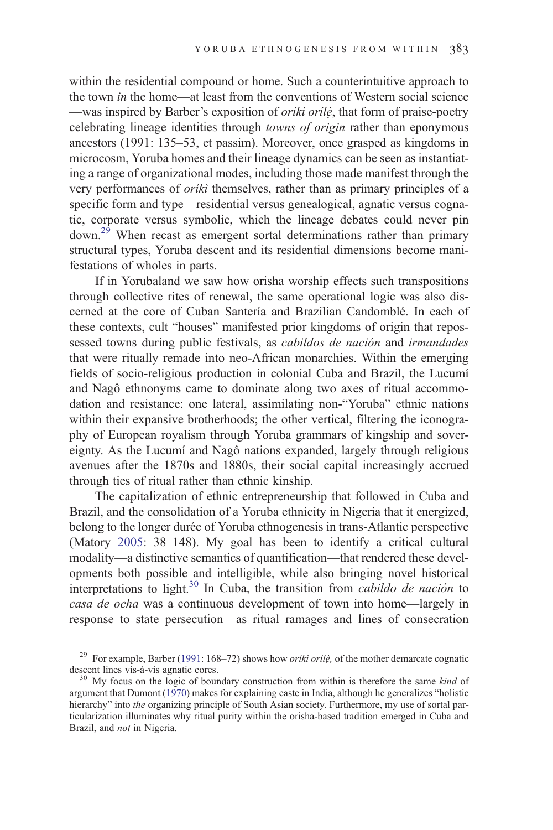within the residential compound or home. Such a counterintuitive approach to the town in the home—at least from the conventions of Western social science —was inspired by Barber's exposition of *oriki orile*, that form of praise-poetry celebrating lineage identities through towns of origin rather than eponymous ancestors (1991: 135–53, et passim). Moreover, once grasped as kingdoms in microcosm, Yoruba homes and their lineage dynamics can be seen as instantiating a range of organizational modes, including those made manifest through the very performances of *orikì* themselves, rather than as primary principles of a specific form and type—residential versus genealogical, agnatic versus cognatic, corporate versus symbolic, which the lineage debates could never pin  $down<sup>29</sup>$  When recast as emergent sortal determinations rather than primary structural types, Yoruba descent and its residential dimensions become manifestations of wholes in parts.

If in Yorubaland we saw how orisha worship effects such transpositions through collective rites of renewal, the same operational logic was also discerned at the core of Cuban Santería and Brazilian Candomblé. In each of these contexts, cult "houses" manifested prior kingdoms of origin that repossessed towns during public festivals, as *cabildos de nación* and *irmandades* that were ritually remade into neo-African monarchies. Within the emerging fields of socio-religious production in colonial Cuba and Brazil, the Lucumí and Nagô ethnonyms came to dominate along two axes of ritual accommodation and resistance: one lateral, assimilating non-"Yoruba" ethnic nations within their expansive brotherhoods; the other vertical, filtering the iconography of European royalism through Yoruba grammars of kingship and sovereignty. As the Lucumí and Nagô nations expanded, largely through religious avenues after the 1870s and 1880s, their social capital increasingly accrued through ties of ritual rather than ethnic kinship.

The capitalization of ethnic entrepreneurship that followed in Cuba and Brazil, and the consolidation of a Yoruba ethnicity in Nigeria that it energized, belong to the longer durée of Yoruba ethnogenesis in trans-Atlantic perspective (Matory [2005:](#page-30-0) 38–148). My goal has been to identify a critical cultural modality—a distinctive semantics of quantification—that rendered these developments both possible and intelligible, while also bringing novel historical interpretations to light.<sup>30</sup> In Cuba, the transition from *cabildo de nación* to casa de ocha was a continuous development of town into home—largely in response to state persecution—as ritual ramages and lines of consecration

<sup>&</sup>lt;sup>29</sup> For example, Barber [\(1991](#page-28-0): 168–72) shows how *orikì orilè*, of the mother demarcate cognatic descent lines vis-à-vis agnatic cores.<br><sup>30</sup> My focus on the logic of boundary construction from within is therefore the same *kind* of

argument that Dumont ([1970\)](#page-29-0) makes for explaining caste in India, although he generalizes "holistic hierarchy" into the organizing principle of South Asian society. Furthermore, my use of sortal particularization illuminates why ritual purity within the orisha-based tradition emerged in Cuba and Brazil, and not in Nigeria.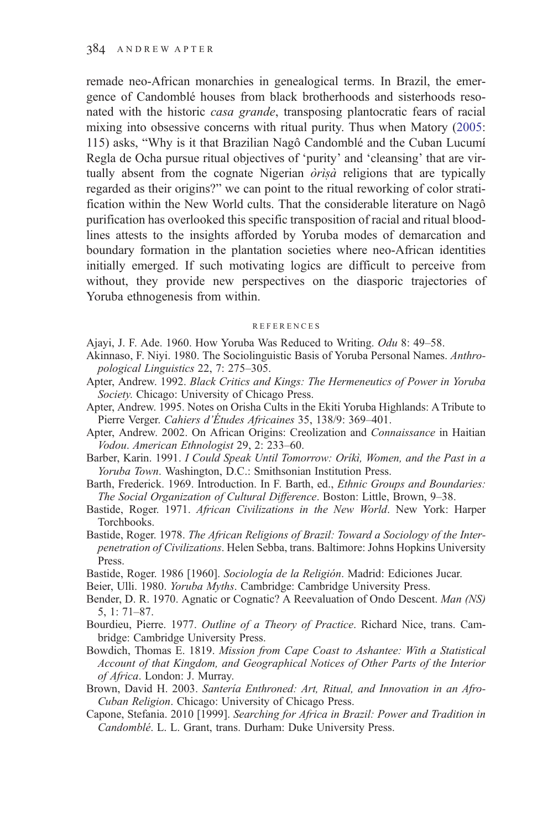<span id="page-28-0"></span>remade neo-African monarchies in genealogical terms. In Brazil, the emergence of Candomblé houses from black brotherhoods and sisterhoods resonated with the historic casa grande, transposing plantocratic fears of racial mixing into obsessive concerns with ritual purity. Thus when Matory ([2005:](#page-30-0) 115) asks, "Why is it that Brazilian Nagô Candomblé and the Cuban Lucumí Regla de Ocha pursue ritual objectives of 'purity' and 'cleansing' that are virtually absent from the cognate Nigerian  $\partial r$ *isa* religions that are typically regarded as their origins?" we can point to the ritual reworking of color stratification within the New World cults. That the considerable literature on Nagô purification has overlooked this specific transposition of racial and ritual bloodlines attests to the insights afforded by Yoruba modes of demarcation and boundary formation in the plantation societies where neo-African identities initially emerged. If such motivating logics are difficult to perceive from without, they provide new perspectives on the diasporic trajectories of Yoruba ethnogenesis from within.

#### REFERENCES

- Ajayi, J. F. Ade. 1960. How Yoruba Was Reduced to Writing. Odu 8: 49–58.
- Akinnaso, F. Niyi. 1980. The Sociolinguistic Basis of Yoruba Personal Names. Anthropological Linguistics 22, 7: 275–305.
- Apter, Andrew. 1992. Black Critics and Kings: The Hermeneutics of Power in Yoruba Society. Chicago: University of Chicago Press.
- Apter, Andrew. 1995. Notes on Orisha Cults in the Ekiti Yoruba Highlands: A Tribute to Pierre Verger. Cahiers d'Études Africaines 35, 138/9: 369–401.
- Apter, Andrew. 2002. On African Origins: Creolization and Connaissance in Haitian Vodou. American Ethnologist 29, 2: 233–60.
- Barber, Karin. 1991. I Could Speak Until Tomorrow: Oríkì, Women, and the Past in a Yoruba Town. Washington, D.C.: Smithsonian Institution Press.
- Barth, Frederick. 1969. Introduction. In F. Barth, ed., Ethnic Groups and Boundaries: The Social Organization of Cultural Difference. Boston: Little, Brown, 9–38.
- Bastide, Roger. 1971. African Civilizations in the New World. New York: Harper Torchbooks.
- Bastide, Roger. 1978. The African Religions of Brazil: Toward a Sociology of the Interpenetration of Civilizations. Helen Sebba, trans. Baltimore: Johns Hopkins University Press.
- Bastide, Roger. 1986 [1960]. Sociología de la Religión. Madrid: Ediciones Jucar.
- Beier, Ulli. 1980. Yoruba Myths. Cambridge: Cambridge University Press.
- Bender, D. R. 1970. Agnatic or Cognatic? A Reevaluation of Ondo Descent. Man (NS) 5, 1: 71–87.
- Bourdieu, Pierre. 1977. Outline of a Theory of Practice. Richard Nice, trans. Cambridge: Cambridge University Press.
- Bowdich, Thomas E. 1819. Mission from Cape Coast to Ashantee: With a Statistical Account of that Kingdom, and Geographical Notices of Other Parts of the Interior of Africa. London: J. Murray.
- Brown, David H. 2003. Santería Enthroned: Art, Ritual, and Innovation in an Afro-Cuban Religion. Chicago: University of Chicago Press.
- Capone, Stefania. 2010 [1999]. Searching for Africa in Brazil: Power and Tradition in Candomblé. L. L. Grant, trans. Durham: Duke University Press.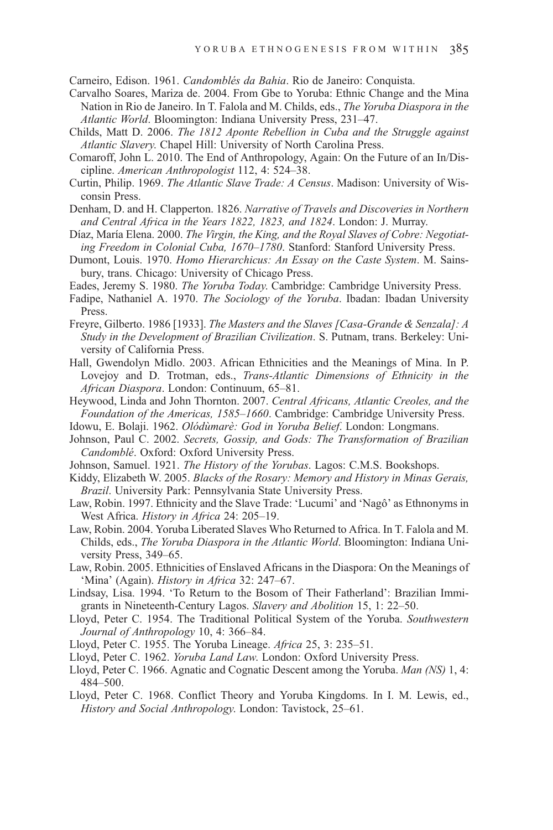<span id="page-29-0"></span>Carneiro, Edison. 1961. Candomblés da Bahia. Rio de Janeiro: Conquista.

- Carvalho Soares, Mariza de. 2004. From Gbe to Yoruba: Ethnic Change and the Mina Nation in Rio de Janeiro. In T. Falola and M. Childs, eds., The Yoruba Diaspora in the Atlantic World. Bloomington: Indiana University Press, 231–47.
- Childs, Matt D. 2006. The 1812 Aponte Rebellion in Cuba and the Struggle against Atlantic Slavery. Chapel Hill: University of North Carolina Press.
- Comaroff, John L. 2010. The End of Anthropology, Again: On the Future of an In/Discipline. American Anthropologist 112, 4: 524–38.
- Curtin, Philip. 1969. The Atlantic Slave Trade: A Census. Madison: University of Wisconsin Press.
- Denham, D. and H. Clapperton. 1826. Narrative of Travels and Discoveries in Northern and Central Africa in the Years 1822, 1823, and 1824. London: J. Murray.
- Díaz, María Elena. 2000. The Virgin, the King, and the Royal Slaves of Cobre: Negotiating Freedom in Colonial Cuba, 1670–1780. Stanford: Stanford University Press.
- Dumont, Louis. 1970. Homo Hierarchicus: An Essay on the Caste System. M. Sainsbury, trans. Chicago: University of Chicago Press.
- Eades, Jeremy S. 1980. The Yoruba Today. Cambridge: Cambridge University Press.
- Fadipe, Nathaniel A. 1970. The Sociology of the Yoruba. Ibadan: Ibadan University Press.
- Freyre, Gilberto. 1986 [1933]. The Masters and the Slaves [Casa-Grande & Senzala]: A Study in the Development of Brazilian Civilization. S. Putnam, trans. Berkeley: University of California Press.
- Hall, Gwendolyn Midlo. 2003. African Ethnicities and the Meanings of Mina. In P. Lovejoy and D. Trotman, eds., Trans-Atlantic Dimensions of Ethnicity in the African Diaspora. London: Continuum, 65–81.
- Heywood, Linda and John Thornton. 2007. Central Africans, Atlantic Creoles, and the Foundation of the Americas, 1585–1660. Cambridge: Cambridge University Press.
- Idowu, E. Bolaji. 1962. Olódùmarè: God in Yoruba Belief. London: Longmans.
- Johnson, Paul C. 2002. Secrets, Gossip, and Gods: The Transformation of Brazilian Candomblé. Oxford: Oxford University Press.
- Johnson, Samuel. 1921. The History of the Yorubas. Lagos: C.M.S. Bookshops.
- Kiddy, Elizabeth W. 2005. Blacks of the Rosary: Memory and History in Minas Gerais, Brazil. University Park: Pennsylvania State University Press.
- Law, Robin. 1997. Ethnicity and the Slave Trade: 'Lucumi' and 'Nagô' as Ethnonyms in West Africa. History in Africa 24: 205–19.
- Law, Robin. 2004. Yoruba Liberated Slaves Who Returned to Africa. In T. Falola and M. Childs, eds., The Yoruba Diaspora in the Atlantic World. Bloomington: Indiana University Press, 349–65.
- Law, Robin. 2005. Ethnicities of Enslaved Africans in the Diaspora: On the Meanings of 'Mina' (Again). History in Africa 32: 247–67.
- Lindsay, Lisa. 1994. 'To Return to the Bosom of Their Fatherland': Brazilian Immigrants in Nineteenth-Century Lagos. Slavery and Abolition 15, 1: 22–50.
- Lloyd, Peter C. 1954. The Traditional Political System of the Yoruba. Southwestern Journal of Anthropology 10, 4: 366–84.
- Lloyd, Peter C. 1955. The Yoruba Lineage. Africa 25, 3: 235–51.
- Lloyd, Peter C. 1962. Yoruba Land Law. London: Oxford University Press.
- Lloyd, Peter C. 1966. Agnatic and Cognatic Descent among the Yoruba. Man (NS) 1, 4: 484–500.
- Lloyd, Peter C. 1968. Conflict Theory and Yoruba Kingdoms. In I. M. Lewis, ed., History and Social Anthropology. London: Tavistock, 25–61.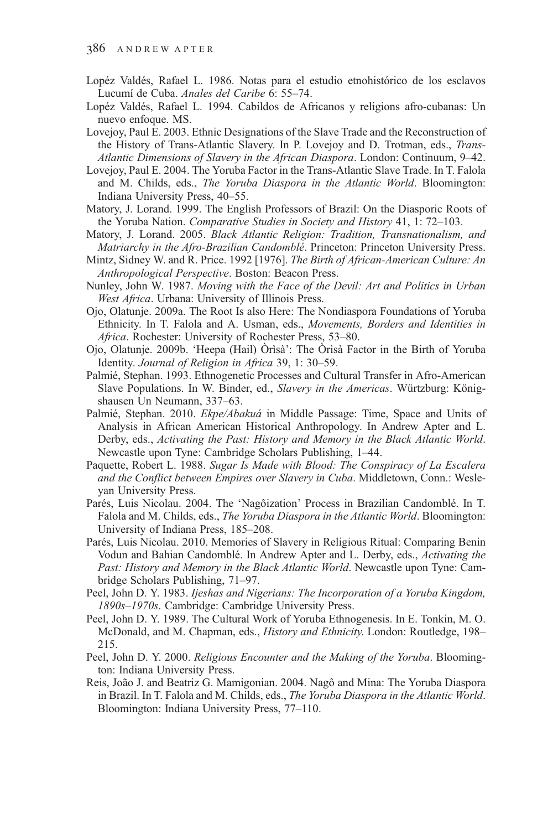- <span id="page-30-0"></span>Lopéz Valdés, Rafael L. 1986. Notas para el estudio etnohistórico de los esclavos Lucumí de Cuba. Anales del Caribe 6: 55–74.
- Lopéz Valdés, Rafael L. 1994. Cabildos de Africanos y religions afro-cubanas: Un nuevo enfoque. MS.
- Lovejoy, Paul E. 2003. Ethnic Designations of the Slave Trade and the Reconstruction of the History of Trans-Atlantic Slavery. In P. Lovejoy and D. Trotman, eds., Trans-Atlantic Dimensions of Slavery in the African Diaspora. London: Continuum, 9–42.
- Lovejoy, Paul E. 2004. The Yoruba Factor in the Trans-Atlantic Slave Trade. In T. Falola and M. Childs, eds., The Yoruba Diaspora in the Atlantic World. Bloomington: Indiana University Press, 40–55.
- Matory, J. Lorand. 1999. The English Professors of Brazil: On the Diasporic Roots of the Yoruba Nation. Comparative Studies in Society and History 41, 1: 72–103.
- Matory, J. Lorand. 2005. Black Atlantic Religion: Tradition, Transnationalism, and Matriarchy in the Afro-Brazilian Candomblé. Princeton: Princeton University Press.
- Mintz, Sidney W. and R. Price. 1992 [1976]. The Birth of African-American Culture: An Anthropological Perspective. Boston: Beacon Press.
- Nunley, John W. 1987. Moving with the Face of the Devil: Art and Politics in Urban West Africa. Urbana: University of Illinois Press.
- Ojo, Olatunje. 2009a. The Root Is also Here: The Nondiaspora Foundations of Yoruba Ethnicity. In T. Falola and A. Usman, eds., Movements, Borders and Identities in Africa. Rochester: University of Rochester Press, 53–80.
- Ojo, Olatunje. 2009b. 'Heepa (Hail) Òrìsà': The Òrìsà Factor in the Birth of Yoruba Identity. Journal of Religion in Africa 39, 1: 30–59.
- Palmié, Stephan. 1993. Ethnogenetic Processes and Cultural Transfer in Afro-American Slave Populations. In W. Binder, ed., Slavery in the Americas. Würtzburg: Königshausen Un Neumann, 337–63.
- Palmié, Stephan. 2010. Ekpe/Abakuá in Middle Passage: Time, Space and Units of Analysis in African American Historical Anthropology. In Andrew Apter and L. Derby, eds., Activating the Past: History and Memory in the Black Atlantic World. Newcastle upon Tyne: Cambridge Scholars Publishing, 1–44.
- Paquette, Robert L. 1988. Sugar Is Made with Blood: The Conspiracy of La Escalera and the Conflict between Empires over Slavery in Cuba. Middletown, Conn.: Wesleyan University Press.
- Parés, Luis Nicolau. 2004. The 'Nagôization' Process in Brazilian Candomblé. In T. Falola and M. Childs, eds., The Yoruba Diaspora in the Atlantic World. Bloomington: University of Indiana Press, 185–208.
- Parés, Luis Nicolau. 2010. Memories of Slavery in Religious Ritual: Comparing Benin Vodun and Bahian Candomblé. In Andrew Apter and L. Derby, eds., Activating the Past: History and Memory in the Black Atlantic World. Newcastle upon Tyne: Cambridge Scholars Publishing, 71–97.
- Peel, John D. Y. 1983. Ijeshas and Nigerians: The Incorporation of a Yoruba Kingdom, 1890s–1970s. Cambridge: Cambridge University Press.
- Peel, John D. Y. 1989. The Cultural Work of Yoruba Ethnogenesis. In E. Tonkin, M. O. McDonald, and M. Chapman, eds., *History and Ethnicity*. London: Routledge, 198– 215.
- Peel, John D. Y. 2000. Religious Encounter and the Making of the Yoruba. Bloomington: Indiana University Press.
- Reis, João J. and Beatriz G. Mamigonian. 2004. Nagô and Mina: The Yoruba Diaspora in Brazil. In T. Falola and M. Childs, eds., The Yoruba Diaspora in the Atlantic World. Bloomington: Indiana University Press, 77–110.